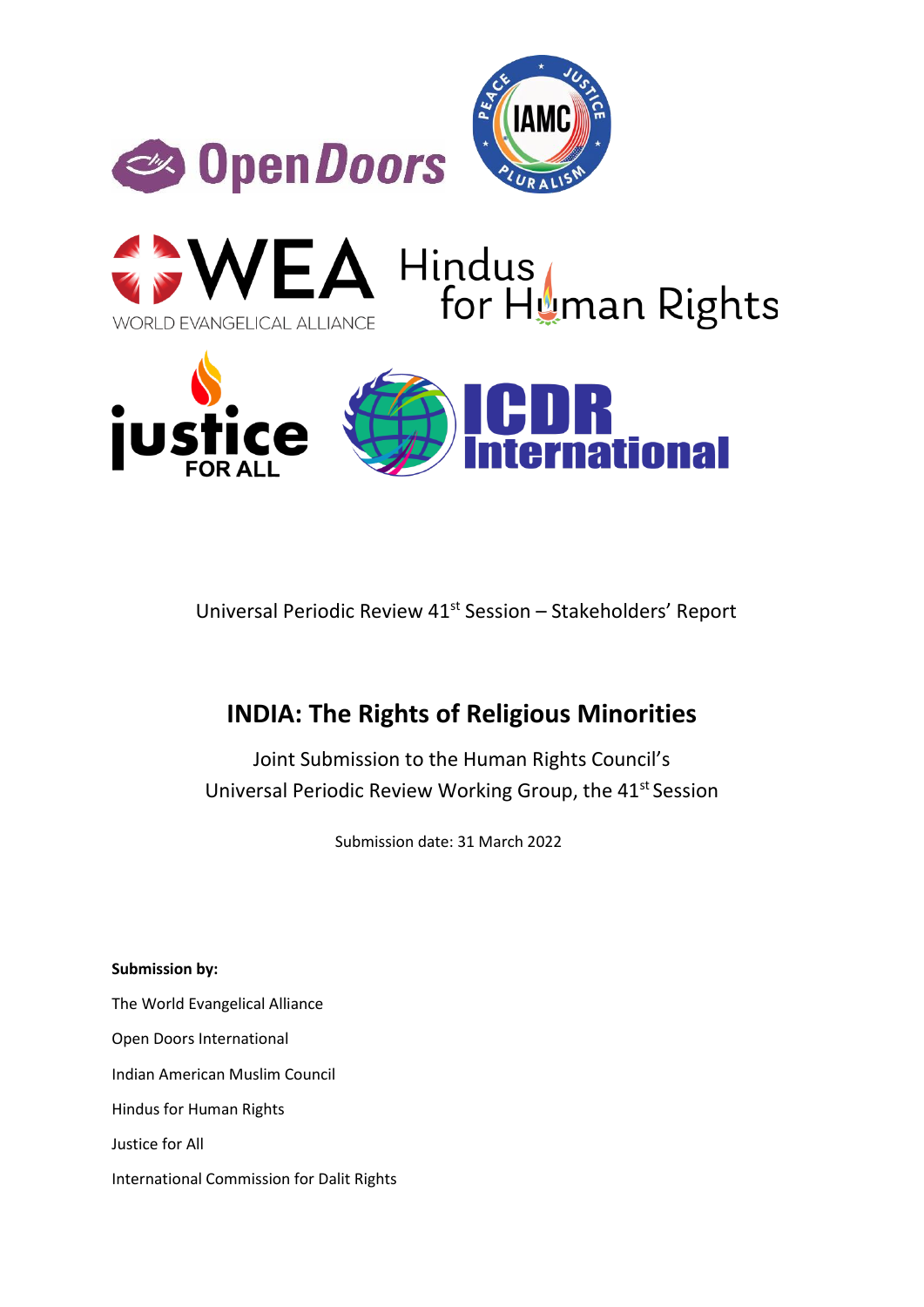



Universal Periodic Review 41<sup>st</sup> Session - Stakeholders' Report

# **INDIA: The Rights of Religious Minorities**

Joint Submission to the Human Rights Council's Universal Periodic Review Working Group, the 41st Session

Submission date: 31 March 2022

**Submission by:** The World Evangelical Alliance Open Doors International Indian American Muslim Council Hindus for Human Rights Justice for All International Commission for Dalit Rights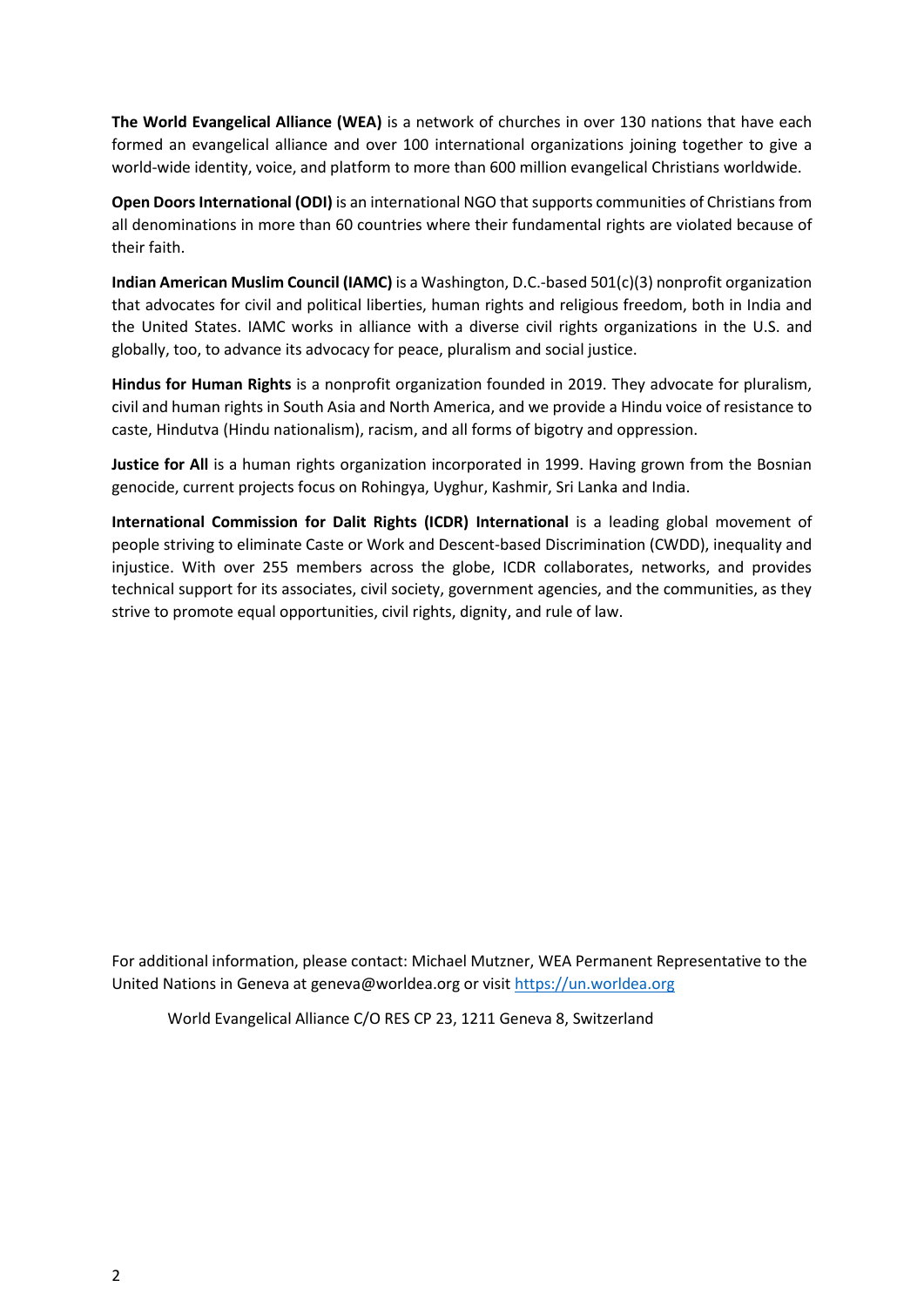**The World Evangelical Alliance (WEA)** is a network of churches in over 130 nations that have each formed an evangelical alliance and over 100 international organizations joining together to give a world-wide identity, voice, and platform to more than 600 million evangelical Christians worldwide.

**Open Doors International (ODI)** is an international NGO that supports communities of Christians from all denominations in more than 60 countries where their fundamental rights are violated because of their faith.

**Indian American Muslim Council (IAMC)** is a Washington, D.C.-based 501(c)(3) nonprofit organization that advocates for civil and political liberties, human rights and religious freedom, both in India and the United States. IAMC works in alliance with a diverse civil rights organizations in the U.S. and globally, too, to advance its advocacy for peace, pluralism and social justice.

**Hindus for Human Rights** is a nonprofit organization founded in 2019. They advocate for pluralism, civil and human rights in South Asia and North America, and we provide a Hindu voice of resistance to caste, Hindutva (Hindu nationalism), racism, and all forms of bigotry and oppression.

**Justice for All** is a human rights organization incorporated in 1999. Having grown from the Bosnian genocide, current projects focus on Rohingya, Uyghur, Kashmir, Sri Lanka and India.

**International Commission for Dalit Rights (ICDR) International** is a leading global movement of people striving to eliminate Caste or Work and Descent-based Discrimination (CWDD), inequality and injustice. With over 255 members across the globe, ICDR collaborates, networks, and provides technical support for its associates, civil society, government agencies, and the communities, as they strive to promote equal opportunities, civil rights, dignity, and rule of law.

For additional information, please contact: Michael Mutzner, WEA Permanent Representative to the United Nations in Geneva at geneva@worldea.org or visi[t https://un.worldea.org](https://un.worldea.org/) 

World Evangelical Alliance C/O RES CP 23, 1211 Geneva 8, Switzerland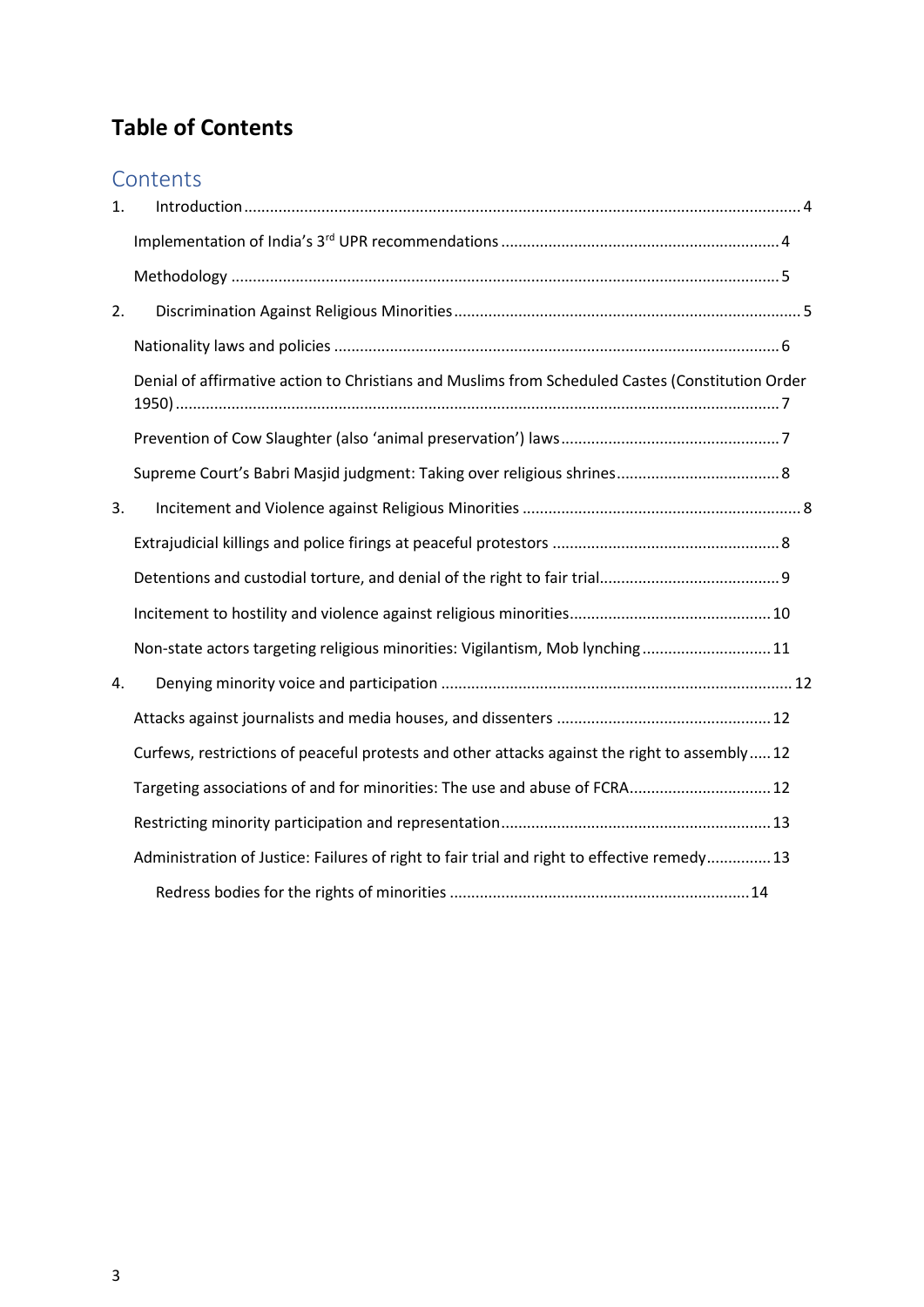# **Table of Contents**

# **Contents**

| $\mathbf{1}$ . |                                                                                                  |
|----------------|--------------------------------------------------------------------------------------------------|
|                |                                                                                                  |
|                |                                                                                                  |
| 2.             |                                                                                                  |
|                |                                                                                                  |
|                | Denial of affirmative action to Christians and Muslims from Scheduled Castes (Constitution Order |
|                |                                                                                                  |
|                |                                                                                                  |
| 3.             |                                                                                                  |
|                |                                                                                                  |
|                |                                                                                                  |
|                |                                                                                                  |
|                | Non-state actors targeting religious minorities: Vigilantism, Mob lynching 11                    |
| 4.             |                                                                                                  |
|                |                                                                                                  |
|                | Curfews, restrictions of peaceful protests and other attacks against the right to assembly 12    |
|                | Targeting associations of and for minorities: The use and abuse of FCRA 12                       |
|                |                                                                                                  |
|                | Administration of Justice: Failures of right to fair trial and right to effective remedy 13      |
|                |                                                                                                  |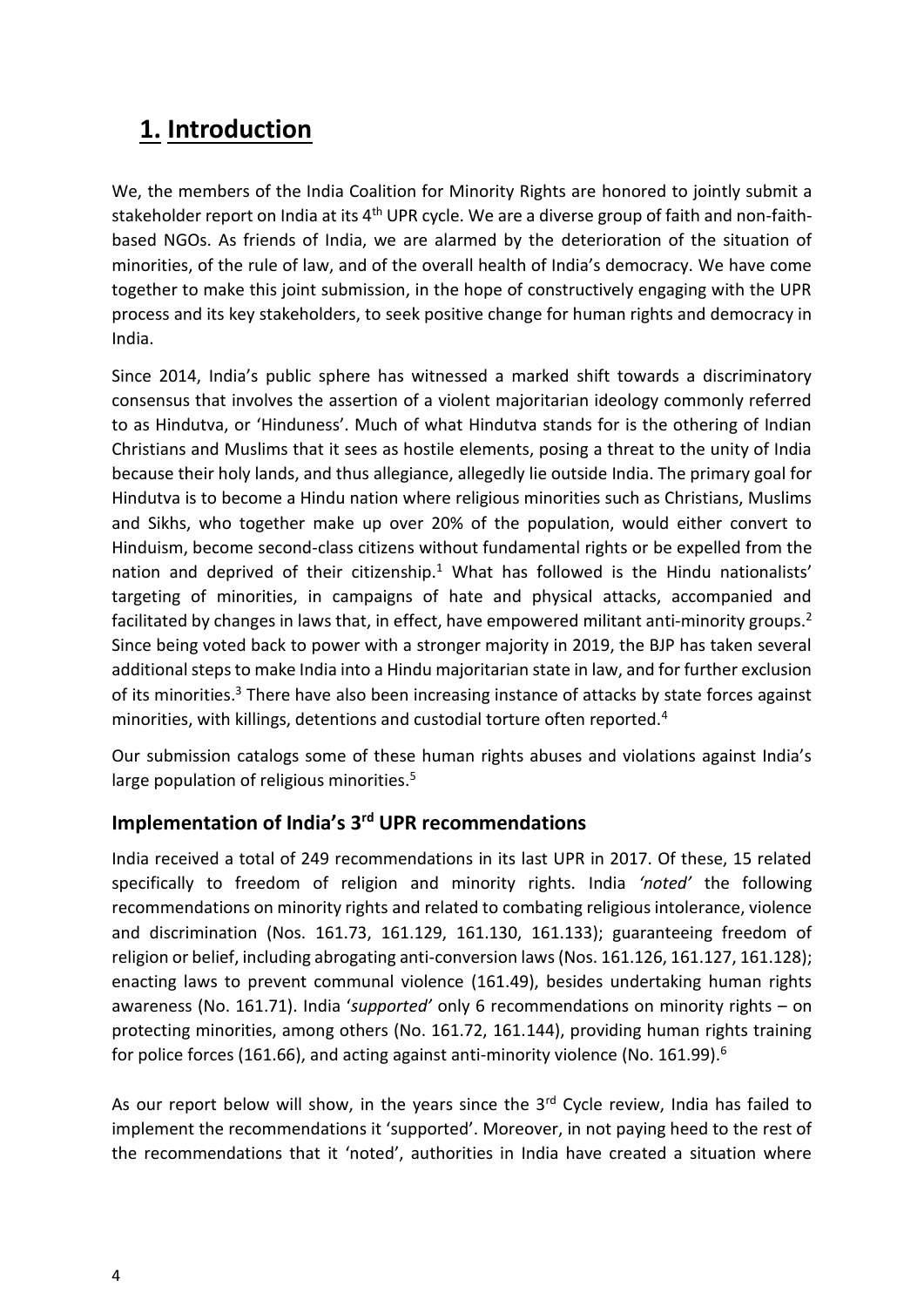# <span id="page-3-0"></span>**1. Introduction**

We, the members of the India Coalition for Minority Rights are honored to jointly submit a stakeholder report on India at its 4<sup>th</sup> UPR cycle. We are a diverse group of faith and non-faithbased NGOs. As friends of India, we are alarmed by the deterioration of the situation of minorities, of the rule of law, and of the overall health of India's democracy. We have come together to make this joint submission, in the hope of constructively engaging with the UPR process and its key stakeholders, to seek positive change for human rights and democracy in India.

Since 2014, India's public sphere has witnessed a marked shift towards a discriminatory consensus that involves the assertion of a violent majoritarian ideology commonly referred to as Hindutva, or 'Hinduness'. Much of what Hindutva stands for is the othering of Indian Christians and Muslims that it sees as hostile elements, posing a threat to the unity of India because their holy lands, and thus allegiance, allegedly lie outside India. The primary goal for Hindutva is to become a Hindu nation where religious minorities such as Christians, Muslims and Sikhs, who together make up over 20% of the population, would either convert to Hinduism, become second-class citizens without fundamental rights or be expelled from the nation and deprived of their citizenship.<sup>1</sup> What has followed is the Hindu nationalists' targeting of minorities, in campaigns of hate and physical attacks, accompanied and facilitated by changes in laws that, in effect, have empowered militant anti-minority groups.<sup>2</sup> Since being voted back to power with a stronger majority in 2019, the BJP has taken several additional steps to make India into a Hindu majoritarian state in law, and for further exclusion of its minorities.<sup>3</sup> There have also been increasing instance of attacks by state forces against minorities, with killings, detentions and custodial torture often reported.<sup>4</sup>

Our submission catalogs some of these human rights abuses and violations against India's large population of religious minorities.<sup>5</sup>

### <span id="page-3-1"></span>**Implementation of India's 3rd UPR recommendations**

India received a total of 249 recommendations in its last UPR in 2017. Of these, 15 related specifically to freedom of religion and minority rights. India *'noted'* the following recommendations on minority rights and related to combating religious intolerance, violence and discrimination (Nos. 161.73, 161.129, 161.130, 161.133); guaranteeing freedom of religion or belief, including abrogating anti-conversion laws (Nos. 161.126, 161.127, 161.128); enacting laws to prevent communal violence (161.49), besides undertaking human rights awareness (No. 161.71). India '*supported'* only 6 recommendations on minority rights – on protecting minorities, among others (No. 161.72, 161.144), providing human rights training for police forces (161.66), and acting against anti-minority violence (No. 161.99).<sup>6</sup>

As our report below will show, in the years since the  $3<sup>rd</sup>$  Cycle review, India has failed to implement the recommendations it 'supported'. Moreover, in not paying heed to the rest of the recommendations that it 'noted', authorities in India have created a situation where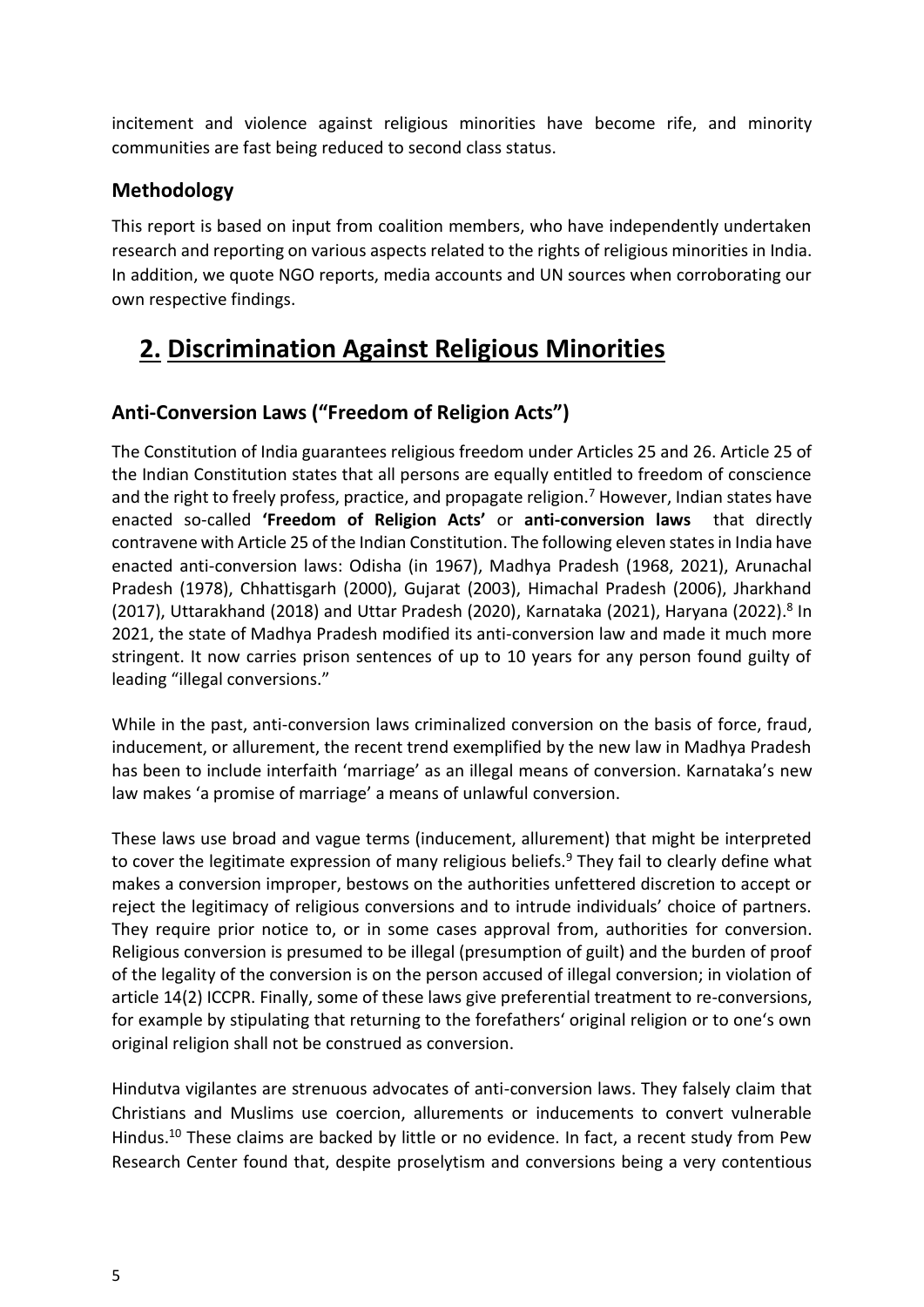incitement and violence against religious minorities have become rife, and minority communities are fast being reduced to second class status.

### <span id="page-4-0"></span>**Methodology**

This report is based on input from coalition members, who have independently undertaken research and reporting on various aspects related to the rights of religious minorities in India. In addition, we quote NGO reports, media accounts and UN sources when corroborating our own respective findings.

# <span id="page-4-1"></span>**2. Discrimination Against Religious Minorities**

## **Anti-Conversion Laws ("Freedom of Religion Acts")**

The Constitution of India guarantees religious freedom under Articles 25 and 26. Article 25 of the Indian Constitution states that all persons are equally entitled to freedom of conscience and the right to freely profess, practice, and propagate religion.<sup>7</sup> However, Indian states have enacted so-called **'Freedom of Religion Acts'** or **anti-conversion laws** that directly contravene with Article 25 of the Indian Constitution. The following eleven states in India have enacted anti-conversion laws: Odisha (in 1967), Madhya Pradesh (1968, 2021), Arunachal Pradesh (1978), Chhattisgarh (2000), Gujarat (2003), Himachal Pradesh (2006), Jharkhand (2017), Uttarakhand (2018) and Uttar Pradesh (2020), Karnataka (2021), Haryana (2022). 8 In 2021, the state of Madhya Pradesh modified its anti-conversion law and made it much more stringent. It now carries prison sentences of up to 10 years for any person found guilty of leading "illegal conversions."

While in the past, anti-conversion laws criminalized conversion on the basis of force, fraud, inducement, or allurement, the recent trend exemplified by the new law in Madhya Pradesh has been to include interfaith 'marriage' as an illegal means of conversion. Karnataka's new law makes 'a promise of marriage' a means of unlawful conversion.

These laws use broad and vague terms (inducement, allurement) that might be interpreted to cover the legitimate expression of many religious beliefs.<sup>9</sup> They fail to clearly define what makes a conversion improper, bestows on the authorities unfettered discretion to accept or reject the legitimacy of religious conversions and to intrude individuals' choice of partners. They require prior notice to, or in some cases approval from, authorities for conversion. Religious conversion is presumed to be illegal (presumption of guilt) and the burden of proof of the legality of the conversion is on the person accused of illegal conversion; in violation of article 14(2) ICCPR. Finally, some of these laws give preferential treatment to re-conversions, for example by stipulating that returning to the forefathers' original religion or to one's own original religion shall not be construed as conversion.

Hindutva vigilantes are strenuous advocates of anti-conversion laws. They falsely claim that Christians and Muslims use coercion, allurements or inducements to convert vulnerable Hindus.<sup>10</sup> These claims are backed by little or no evidence. In fact, a recent study from Pew Research Center found that, despite proselytism and conversions being a very contentious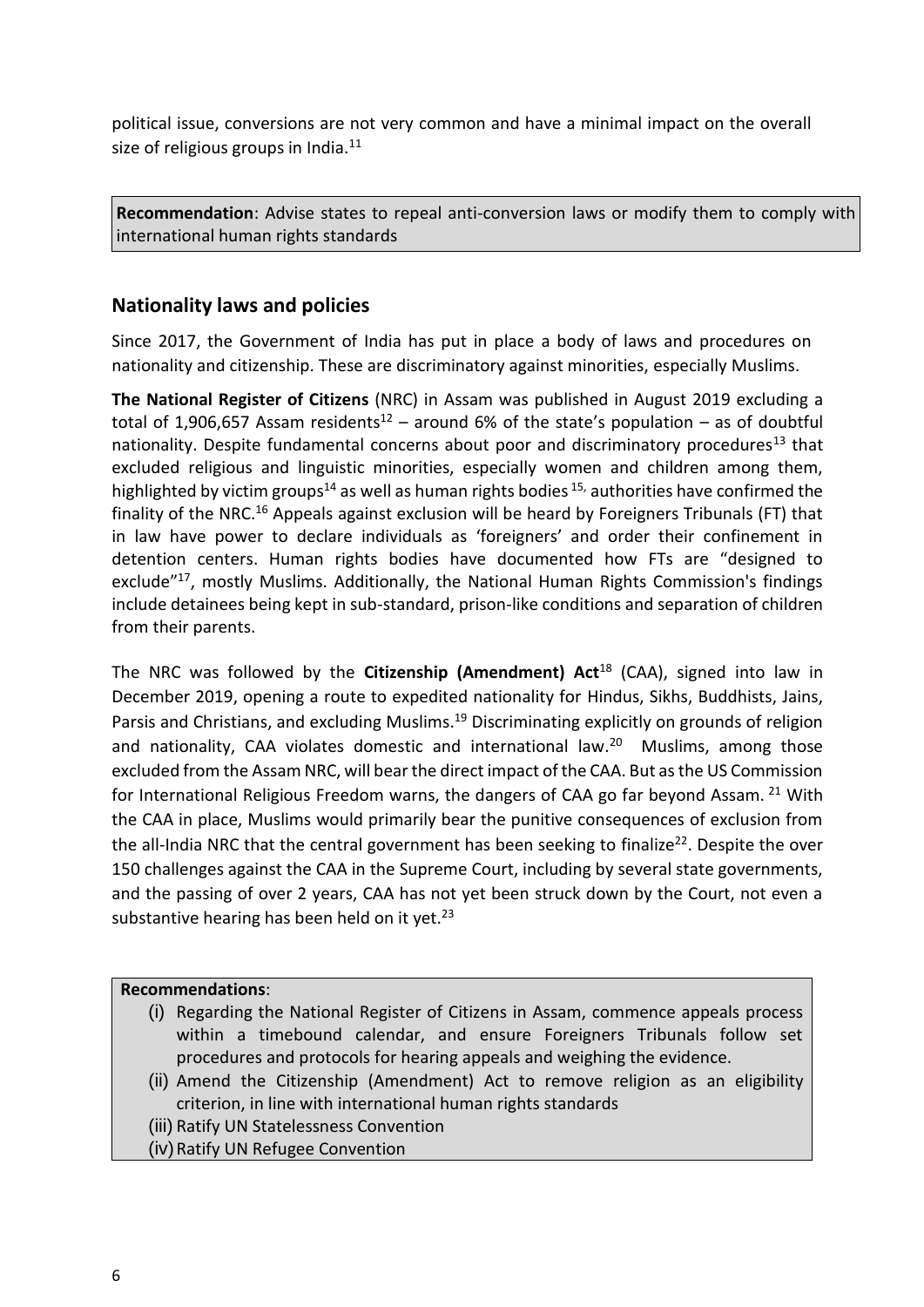political issue, conversions are not very common and have a minimal impact on the overall size of religious groups in India. $11$ 

**Recommendation**: Advise states to repeal anti-conversion laws or modify them to comply with international human rights standards

#### <span id="page-5-0"></span>**Nationality laws and policies**

Since 2017, the Government of India has put in place a body of laws and procedures on nationality and citizenship. These are discriminatory against minorities, especially Muslims.

**The National Register of Citizens** (NRC) in Assam was published in August 2019 excluding a total of 1,906,657 Assam residents<sup>12</sup> – around 6% of the state's population – as of doubtful nationality. Despite fundamental concerns about poor and discriminatory procedures<sup>13</sup> that excluded religious and linguistic minorities, especially women and children among them, highlighted by victim groups<sup>14</sup> as well as human rights bodies  $15$ , authorities have confirmed the finality of the NRC.<sup>16</sup> Appeals against exclusion will be heard by Foreigners Tribunals (FT) that in law have power to declare individuals as 'foreigners' and order their confinement in detention centers. Human rights bodies have documented how FTs are "designed to exclude"<sup>17</sup>, mostly Muslims. Additionally, the National Human Rights Commission's findings include detainees being kept in sub-standard, prison-like conditions and separation of children from their parents.

The NRC was followed by the **Citizenship (Amendment) Act**<sup>18</sup> (CAA), signed into law in December 2019, opening a route to expedited nationality for Hindus, Sikhs, Buddhists, Jains, Parsis and Christians, and excluding Muslims.<sup>19</sup> Discriminating explicitly on grounds of religion and nationality, CAA violates domestic and international law.<sup>20</sup> Muslims, among those excluded from the Assam NRC, will bear the direct impact of the CAA. But as the US Commission for International Religious Freedom warns, the dangers of CAA go far beyond Assam. <sup>21</sup> With the CAA in place, Muslims would primarily bear the punitive consequences of exclusion from the all-India NRC that the central government has been seeking to finalize<sup>22</sup>. Despite the over 150 challenges against the CAA in the Supreme Court, including by several state governments, and the passing of over 2 years, CAA has not yet been struck down by the Court, not even a substantive hearing has been held on it yet.<sup>23</sup>

#### **Recommendations**:

- (i) Regarding the National Register of Citizens in Assam, commence appeals process within a timebound calendar, and ensure Foreigners Tribunals follow set procedures and protocols for hearing appeals and weighing the evidence.
- (ii) Amend the Citizenship (Amendment) Act to remove religion as an eligibility criterion, in line with international human rights standards
- (iii) Ratify UN Statelessness Convention
- (iv) Ratify UN Refugee Convention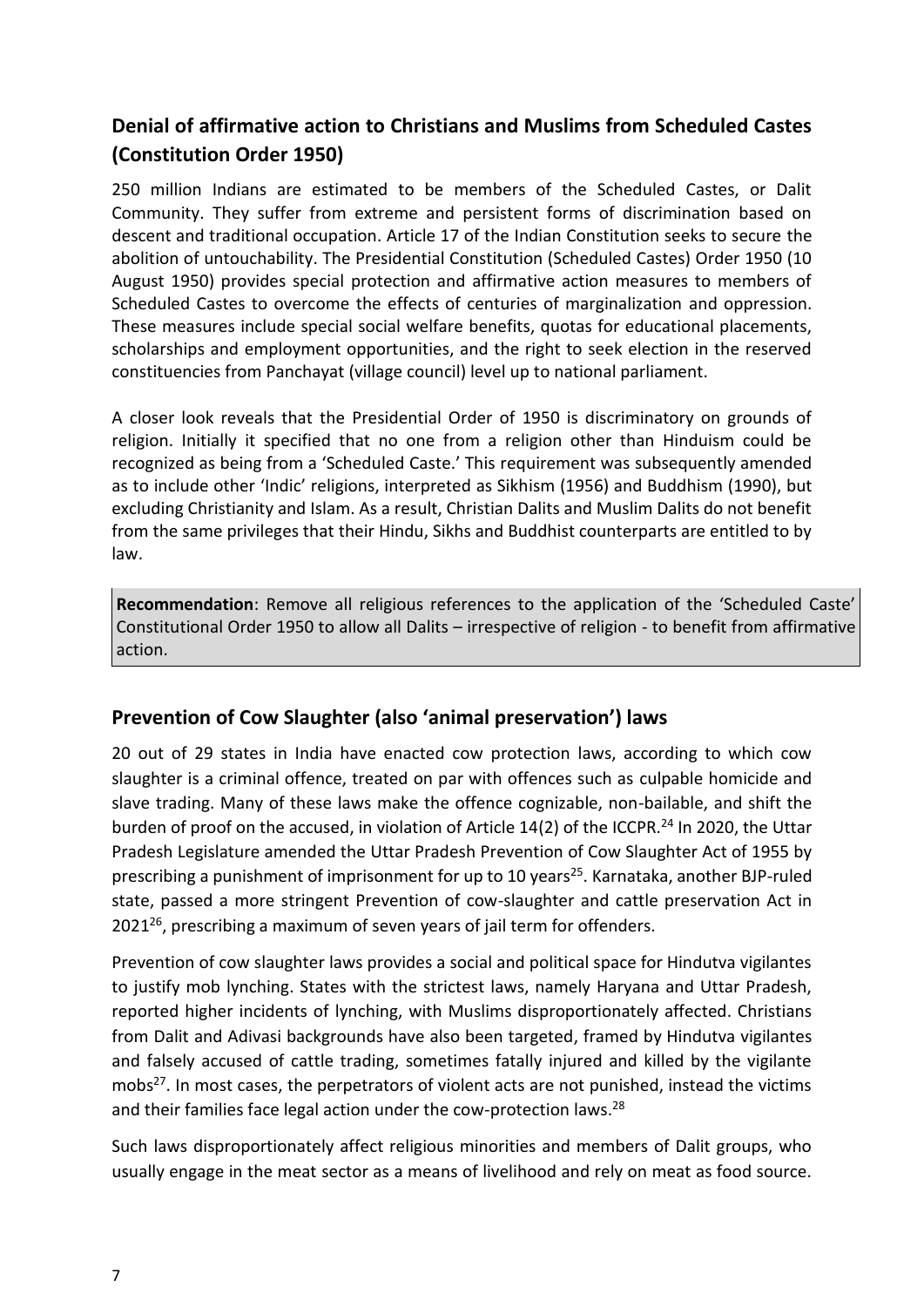# <span id="page-6-0"></span>**Denial of affirmative action to Christians and Muslims from Scheduled Castes (Constitution Order 1950)**

250 million Indians are estimated to be members of the Scheduled Castes, or Dalit Community. They suffer from extreme and persistent forms of discrimination based on descent and traditional occupation. Article 17 of the Indian Constitution seeks to secure the abolition of untouchability. The Presidential Constitution (Scheduled Castes) Order 1950 (10 August 1950) provides special protection and affirmative action measures to members of Scheduled Castes to overcome the effects of centuries of marginalization and oppression. These measures include special social welfare benefits, quotas for educational placements, scholarships and employment opportunities, and the right to seek election in the reserved constituencies from Panchayat (village council) level up to national parliament.

A closer look reveals that the Presidential Order of 1950 is discriminatory on grounds of religion. Initially it specified that no one from a religion other than Hinduism could be recognized as being from a 'Scheduled Caste.' This requirement was subsequently amended as to include other 'Indic' religions, interpreted as Sikhism (1956) and Buddhism (1990), but excluding Christianity and Islam. As a result, Christian Dalits and Muslim Dalits do not benefit from the same privileges that their Hindu, Sikhs and Buddhist counterparts are entitled to by law.

**Recommendation**: Remove all religious references to the application of the 'Scheduled Caste' Constitutional Order 1950 to allow all Dalits – irrespective of religion - to benefit from affirmative action.

### <span id="page-6-1"></span>**Prevention of Cow Slaughter (also 'animal preservation') laws**

20 out of 29 states in India have enacted cow protection laws, according to which cow slaughter is a criminal offence, treated on par with offences such as culpable homicide and slave trading. Many of these laws make the offence cognizable, non-bailable, and shift the burden of proof on the accused, in violation of Article 14(2) of the ICCPR.<sup>24</sup> In 2020, the Uttar Pradesh Legislature amended the Uttar Pradesh Prevention of Cow Slaughter Act of 1955 by prescribing a punishment of imprisonment for up to 10 years<sup>25</sup>. Karnataka, another BJP-ruled state, passed a more stringent Prevention of cow-slaughter and cattle preservation Act in  $2021^{26}$ , prescribing a maximum of seven years of jail term for offenders.

Prevention of cow slaughter laws provides a social and political space for Hindutva vigilantes to justify mob lynching. States with the strictest laws, namely Haryana and Uttar Pradesh, reported higher incidents of lynching, with Muslims disproportionately affected. Christians from Dalit and Adivasi backgrounds have also been targeted, framed by Hindutva vigilantes and falsely accused of cattle trading, sometimes fatally injured and killed by the vigilante mobs<sup>27</sup>. In most cases, the perpetrators of violent acts are not punished, instead the victims and their families face legal action under the cow-protection laws.<sup>28</sup>

Such laws disproportionately affect religious minorities and members of Dalit groups, who usually engage in the meat sector as a means of livelihood and rely on meat as food source.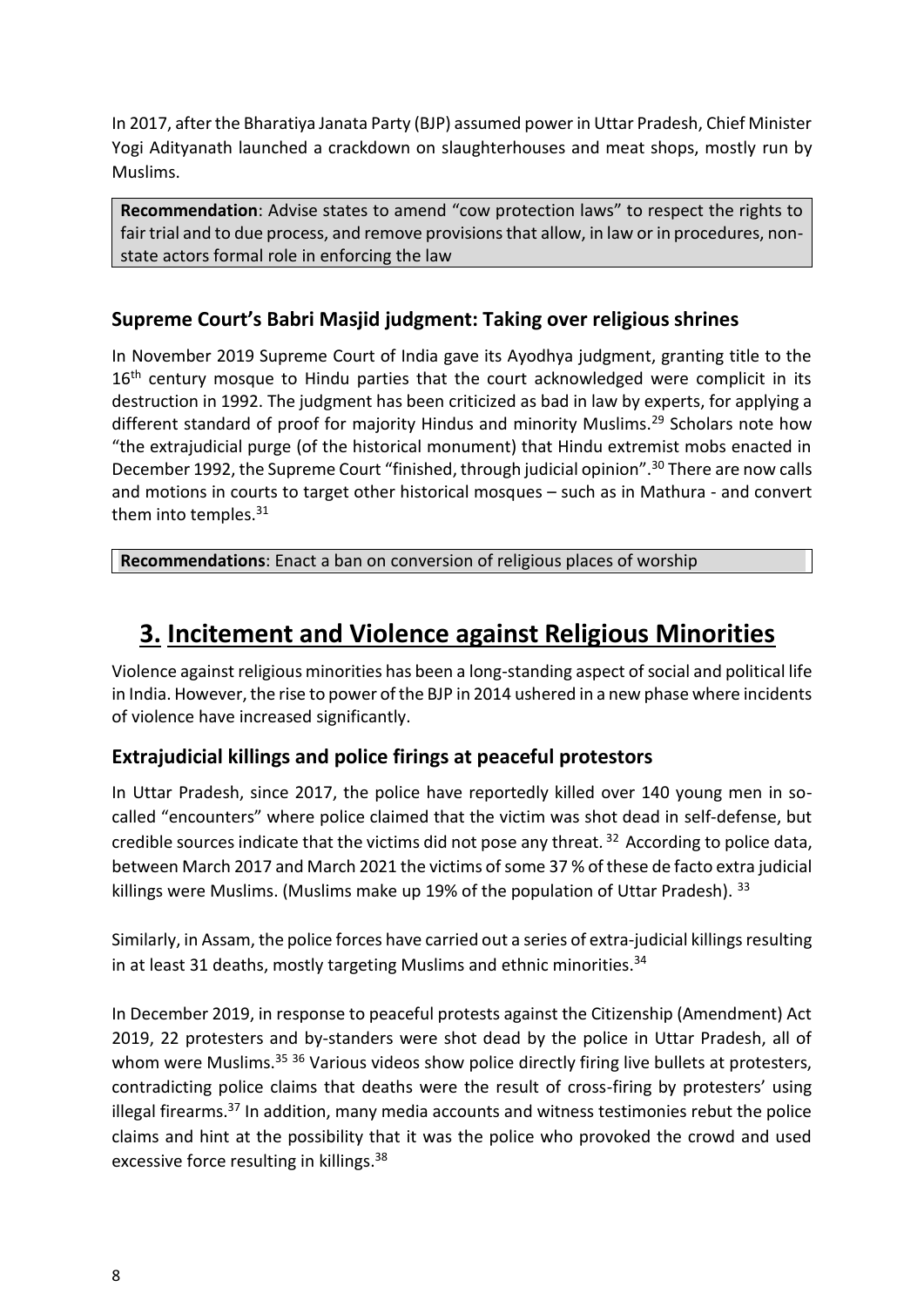In 2017, after the Bharatiya Janata Party (BJP) assumed power in Uttar Pradesh, Chief Minister Yogi Adityanath launched a crackdown on slaughterhouses and meat shops, mostly run by Muslims.

**Recommendation**: Advise states to amend "cow protection laws" to respect the rights to fair trial and to due process, and remove provisions that allow, in law or in procedures, nonstate actors formal role in enforcing the law

### <span id="page-7-0"></span>**Supreme Court's Babri Masjid judgment: Taking over religious shrines**

In November 2019 Supreme Court of India gave its Ayodhya judgment, granting title to the  $16<sup>th</sup>$  century mosque to Hindu parties that the court acknowledged were complicit in its destruction in 1992. The judgment has been criticized as bad in law by experts, for applying a different standard of proof for majority Hindus and minority Muslims.<sup>29</sup> Scholars note how "the extrajudicial purge (of the historical monument) that Hindu extremist mobs enacted in December 1992, the Supreme Court "finished, through judicial opinion".<sup>30</sup> There are now calls and motions in courts to target other historical mosques – such as in Mathura - and convert them into temples.<sup>31</sup>

**Recommendations**: Enact a ban on conversion of religious places of worship

# <span id="page-7-1"></span>**3. Incitement and Violence against Religious Minorities**

Violence against religious minorities has been a long-standing aspect of social and political life in India. However, the rise to power of the BJP in 2014 ushered in a new phase where incidents of violence have increased significantly.

### <span id="page-7-2"></span>**Extrajudicial killings and police firings at peaceful protestors**

In Uttar Pradesh, since 2017, the police have reportedly killed over 140 young men in socalled "encounters" where police claimed that the victim was shot dead in self-defense, but credible sources indicate that the victims did not pose any threat*.* <sup>32</sup> According to police data, between March 2017 and March 2021 the victims of some 37 % of these de facto extra judicial killings were Muslims. (Muslims make up 19% of the population of Uttar Pradesh).  $33$ 

Similarly, in Assam, the police forces have carried out a series of extra-judicial killings resulting in at least 31 deaths, mostly targeting Muslims and ethnic minorities. $34$ 

In December 2019, in response to peaceful protests against the Citizenship (Amendment) Act 2019, 22 protesters and by-standers were shot dead by the police in Uttar Pradesh, all of whom were Muslims.<sup>35 36</sup> Various videos show police directly firing live bullets at protesters, contradicting police claims that deaths were the result of cross-firing by protesters' using illegal firearms. $37$  In addition, many media accounts and witness testimonies rebut the police claims and hint at the possibility that it was the police who provoked the crowd and used excessive force resulting in killings.<sup>38</sup>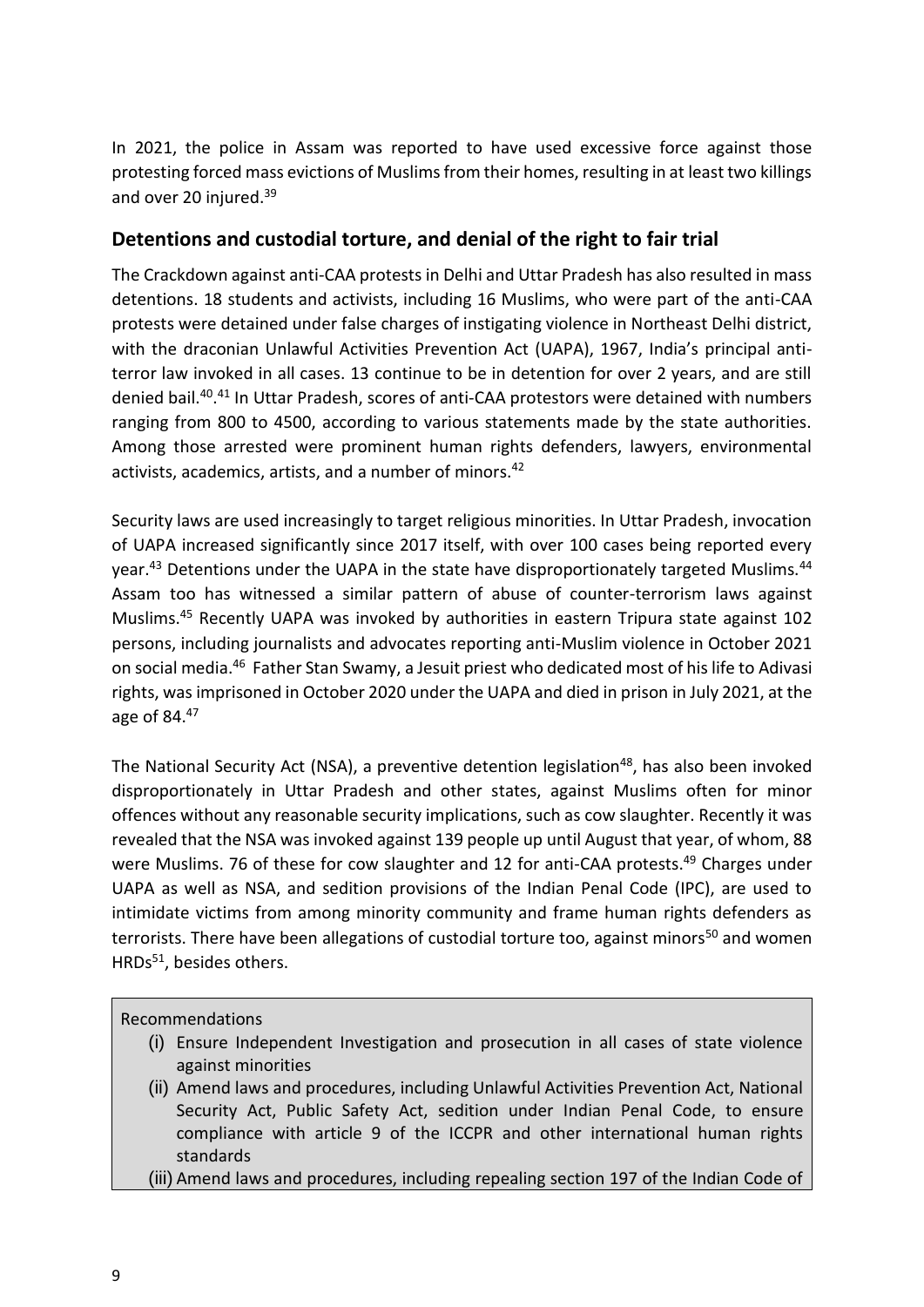In 2021, the police in Assam was reported to have used excessive force against those protesting forced mass evictions of Muslims from their homes, resulting in at least two killings and over 20 injured.<sup>39</sup>

#### <span id="page-8-0"></span>**Detentions and custodial torture, and denial of the right to fair trial**

The Crackdown against anti-CAA protests in Delhi and Uttar Pradesh has also resulted in mass detentions. 18 students and activists, including 16 Muslims, who were part of the anti-CAA protests were detained under false charges of instigating violence in Northeast Delhi district, with the draconian Unlawful Activities Prevention Act (UAPA), 1967, India's principal antiterror law invoked in all cases. 13 continue to be in detention for over 2 years, and are still denied bail.<sup>40</sup>.<sup>41</sup> In Uttar Pradesh, scores of anti-CAA protestors were detained with numbers ranging from 800 to 4500, according to various statements made by the state authorities. Among those arrested were prominent human rights defenders, lawyers, environmental activists, academics, artists, and a number of minors.<sup>42</sup>

Security laws are used increasingly to target religious minorities. In Uttar Pradesh, invocation of UAPA increased significantly since 2017 itself, with over 100 cases being reported every year.<sup>43</sup> Detentions under the UAPA in the state have disproportionately targeted Muslims.<sup>44</sup> Assam too has witnessed a similar pattern of abuse of counter-terrorism laws against Muslims.<sup>45</sup> Recently UAPA was invoked by authorities in eastern Tripura state against 102 persons, including journalists and advocates reporting anti-Muslim violence in October 2021 on social media.<sup>46</sup> Father Stan Swamy, a Jesuit priest who dedicated most of his life to Adivasi rights, was imprisoned in October 2020 under the UAPA and died in prison in July 2021, at the age of 84.<sup>47</sup>

The National Security Act (NSA), a preventive detention legislation<sup>48</sup>, has also been invoked disproportionately in Uttar Pradesh and other states, against Muslims often for minor offences without any reasonable security implications, such as cow slaughter. Recently it was revealed that the NSA was invoked against 139 people up until August that year, of whom, 88 were Muslims. 76 of these for cow slaughter and 12 for anti-CAA protests.<sup>49</sup> Charges under UAPA as well as NSA, and sedition provisions of the Indian Penal Code (IPC), are used to intimidate victims from among minority community and frame human rights defenders as terrorists. There have been allegations of custodial torture too, against minors<sup>50</sup> and women HRDs<sup>51</sup>, besides others.

#### Recommendations

- (i) Ensure Independent Investigation and prosecution in all cases of state violence against minorities
- (ii) Amend laws and procedures, including Unlawful Activities Prevention Act, National Security Act, Public Safety Act, sedition under Indian Penal Code, to ensure compliance with article 9 of the ICCPR and other international human rights standards

(iii) Amend laws and procedures, including repealing section 197 of the Indian Code of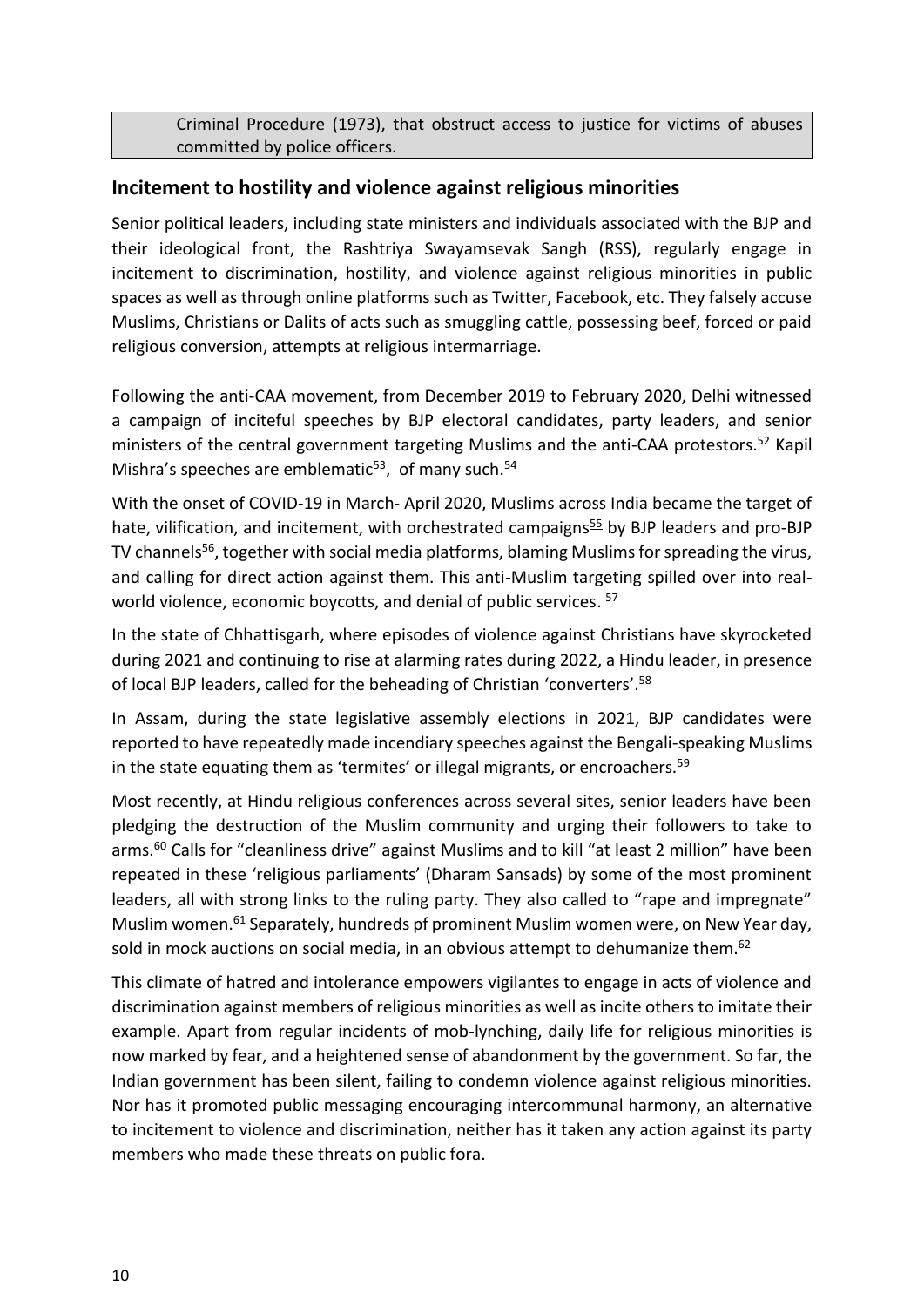Criminal Procedure (1973), that obstruct access to justice for victims of abuses committed by police officers.

#### <span id="page-9-0"></span>**Incitement to hostility and violence against religious minorities**

Senior political leaders, including state ministers and individuals associated with the BJP and their ideological front, the Rashtriya Swayamsevak Sangh (RSS), regularly engage in incitement to discrimination, hostility, and violence against religious minorities in public spaces as well as through online platforms such as Twitter, Facebook, etc. They falsely accuse Muslims, Christians or Dalits of acts such as smuggling cattle, possessing beef, forced or paid religious conversion, attempts at religious intermarriage.

Following the anti-CAA movement, from December 2019 to February 2020, Delhi witnessed a campaign of inciteful speeches by BJP electoral candidates, party leaders, and senior ministers of the central government targeting Muslims and the anti-CAA protestors.<sup>52</sup> Kapil Mishra's speeches are emblematic $53$ , of many such. $54$ 

With the onset of COVID-19 in March- April 2020, Muslims across India became the target of hate, vilification, and incitement, with orchestrated campaigns<sup>55</sup> by BJP leaders and pro-BJP TV channels<sup>56</sup>, together with social media platforms, blaming Muslims for spreading the virus, and calling for direct action against them. This anti-Muslim targeting spilled over into realworld violence, economic boycotts, and denial of public services. <sup>57</sup>

In the state of Chhattisgarh, where episodes of violence against Christians have skyrocketed during 2021 and continuing to rise at alarming rates during 2022, a Hindu leader, in presence of local BJP leaders, called for the beheading of Christian 'converters'.<sup>58</sup>

In Assam, during the state legislative assembly elections in 2021, BJP candidates were reported to have repeatedly made incendiary speeches against the Bengali-speaking Muslims in the state equating them as 'termites' or illegal migrants, or encroachers.<sup>59</sup>

Most recently, at Hindu religious conferences across several sites, senior leaders have been pledging the destruction of the Muslim community and urging their followers to take to arms.<sup>60</sup> Calls for "cleanliness drive" against Muslims and to kill "at least 2 million" have been repeated in these 'religious parliaments' (Dharam Sansads) by some of the most prominent leaders, all with strong links to the ruling party. They also called to "rape and impregnate" Muslim women.<sup>61</sup> Separately, hundreds pf prominent Muslim women were, on New Year day, sold in mock auctions on social media, in an obvious attempt to dehumanize them.<sup>62</sup>

This climate of hatred and intolerance empowers vigilantes to engage in acts of violence and discrimination against members of religious minorities as well as incite others to imitate their example. Apart from regular incidents of mob-lynching, daily life for religious minorities is now marked by fear, and a heightened sense of abandonment by the government. So far, the Indian government has been silent, failing to condemn violence against religious minorities. Nor has it promoted public messaging encouraging intercommunal harmony, an alternative to incitement to violence and discrimination, neither has it taken any action against its party members who made these threats on public fora.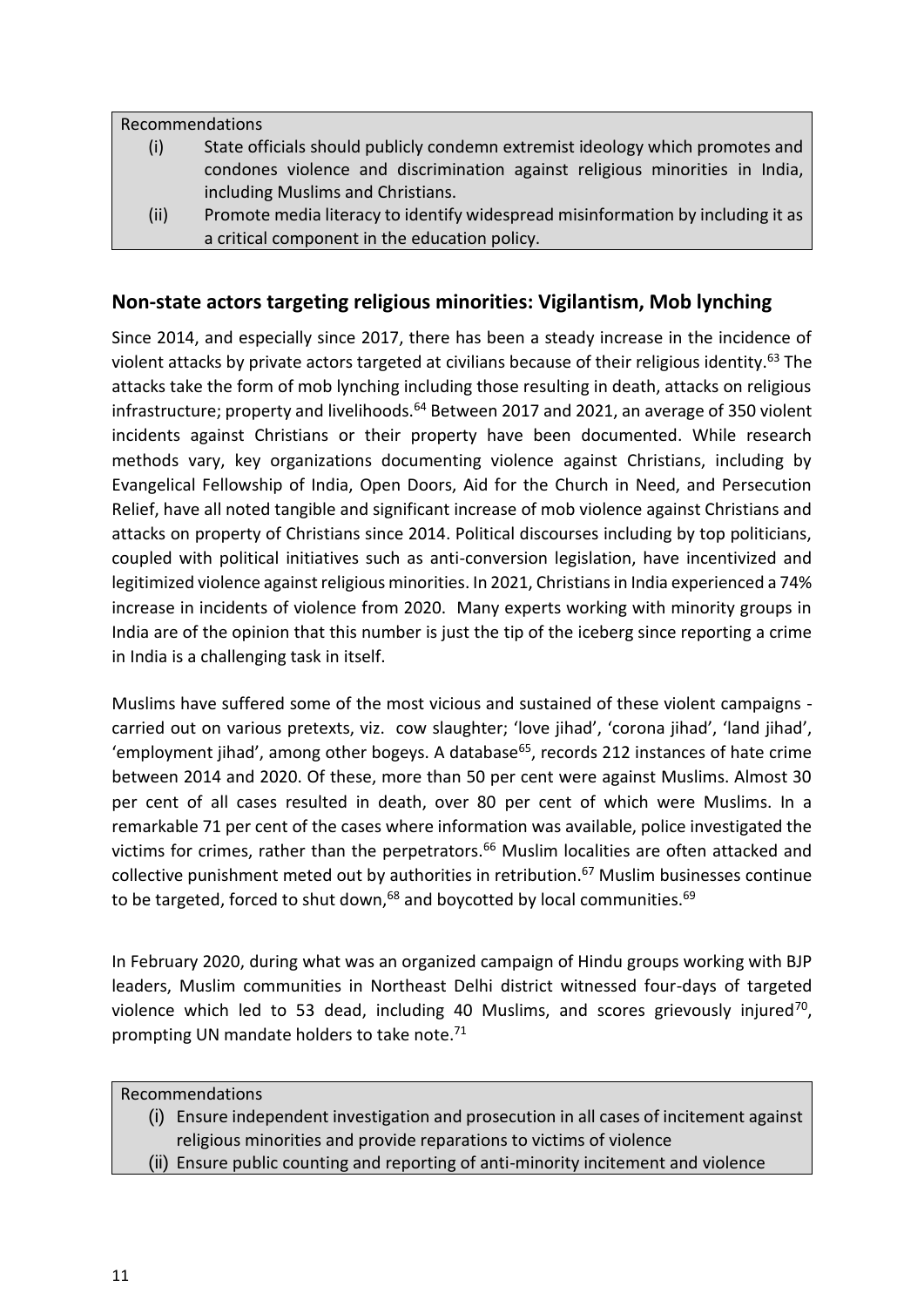Recommendations

- (i) State officials should publicly condemn extremist ideology which promotes and condones violence and discrimination against religious minorities in India, including Muslims and Christians.
- (ii) Promote media literacy to identify widespread misinformation by including it as a critical component in the education policy.

#### <span id="page-10-0"></span>**Non-state actors targeting religious minorities: Vigilantism, Mob lynching**

Since 2014, and especially since 2017, there has been a steady increase in the incidence of violent attacks by private actors targeted at civilians because of their religious identity.<sup>63</sup> The attacks take the form of mob lynching including those resulting in death, attacks on religious infrastructure; property and livelihoods.<sup>64</sup> Between 2017 and 2021, an average of 350 violent incidents against Christians or their property have been documented. While research methods vary, key organizations documenting violence against Christians, including by Evangelical Fellowship of India, Open Doors, Aid for the Church in Need, and Persecution Relief, have all noted tangible and significant increase of mob violence against Christians and attacks on property of Christians since 2014. Political discourses including by top politicians, coupled with political initiatives such as anti-conversion legislation, have incentivized and legitimized violence against religious minorities. In 2021, Christians in India experienced a 74% increase in incidents of violence from 2020. Many experts working with minority groups in India are of the opinion that this number is just the tip of the iceberg since reporting a crime in India is a challenging task in itself.

Muslims have suffered some of the most vicious and sustained of these violent campaigns carried out on various pretexts, viz. cow slaughter; 'love jihad', 'corona jihad', 'land jihad', 'employment jihad', among other bogeys. A database<sup>65</sup>, records 212 instances of hate crime between 2014 and 2020. Of these, more than 50 per cent were against Muslims. Almost 30 per cent of all cases resulted in death, over 80 per cent of which were Muslims. In a remarkable 71 per cent of the cases where information was available, police investigated the victims for crimes, rather than the perpetrators.<sup>66</sup> Muslim localities are often attacked and collective punishment meted out by authorities in retribution.<sup>67</sup> Muslim businesses continue to be targeted, forced to shut down, $^{68}$  and boycotted by local communities. $^{69}$ 

In February 2020, during what was an organized campaign of Hindu groups working with BJP leaders, Muslim communities in Northeast Delhi district witnessed four-days of targeted violence which led to 53 dead, including 40 Muslims, and scores grievously injured<sup>70</sup>, prompting UN mandate holders to take note.<sup>71</sup>

Recommendations

- (i) Ensure independent investigation and prosecution in all cases of incitement against religious minorities and provide reparations to victims of violence
- (ii) Ensure public counting and reporting of anti-minority incitement and violence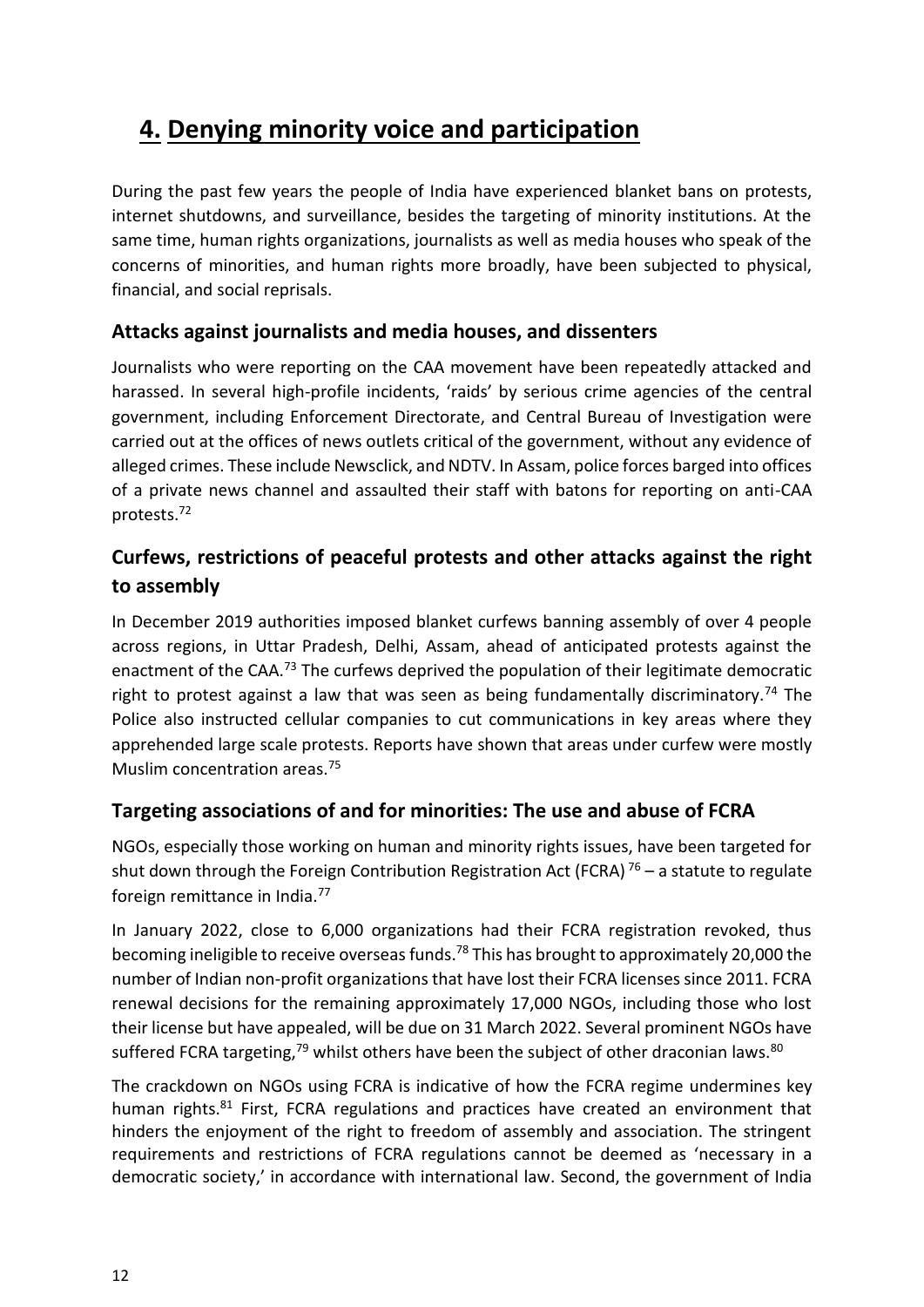# <span id="page-11-0"></span>**4. Denying minority voice and participation**

During the past few years the people of India have experienced blanket bans on protests, internet shutdowns, and surveillance, besides the targeting of minority institutions. At the same time, human rights organizations, journalists as well as media houses who speak of the concerns of minorities, and human rights more broadly, have been subjected to physical, financial, and social reprisals.

### <span id="page-11-1"></span>**Attacks against journalists and media houses, and dissenters**

Journalists who were reporting on the CAA movement have been repeatedly attacked and harassed. In several high-profile incidents, 'raids' by serious crime agencies of the central government, including Enforcement Directorate, and Central Bureau of Investigation were carried out at the offices of news outlets critical of the government, without any evidence of alleged crimes. These include Newsclick, and NDTV. In Assam, police forces barged into offices of a private news channel and assaulted their staff with batons for reporting on anti-CAA protests.<sup>72</sup>

# <span id="page-11-2"></span>**Curfews, restrictions of peaceful protests and other attacks against the right to assembly**

In December 2019 authorities imposed blanket curfews banning assembly of over 4 people across regions, in Uttar Pradesh, Delhi, Assam, ahead of anticipated protests against the enactment of the CAA.<sup>73</sup> The curfews deprived the population of their legitimate democratic right to protest against a law that was seen as being fundamentally discriminatory.<sup>74</sup> The Police also instructed cellular companies to cut communications in key areas where they apprehended large scale protests. Reports have shown that areas under curfew were mostly Muslim concentration areas.<sup>75</sup>

## <span id="page-11-3"></span>**Targeting associations of and for minorities: The use and abuse of FCRA**

NGOs, especially those working on human and minority rights issues, have been targeted for shut down through the Foreign Contribution Registration Act (FCRA)  $^{76}$  – a statute to regulate foreign remittance in India.<sup>77</sup>

In January 2022, close to 6,000 organizations had their FCRA registration revoked, thus becoming ineligible to receive overseas funds.<sup>78</sup> This has brought to approximately 20,000 the number of Indian non-profit organizations that have lost their FCRA licenses since 2011. FCRA renewal decisions for the remaining approximately 17,000 NGOs, including those who lost their license but have appealed, will be due on 31 March 2022. Several prominent NGOs have suffered FCRA targeting, $79$  whilst others have been the subject of other draconian laws. $80$ 

The crackdown on NGOs using FCRA is indicative of how the FCRA regime undermines key human rights.<sup>81</sup> First, FCRA regulations and practices have created an environment that hinders the enjoyment of the right to freedom of assembly and association. The stringent requirements and restrictions of FCRA regulations cannot be deemed as 'necessary in a democratic society,' in accordance with international law. Second, the government of India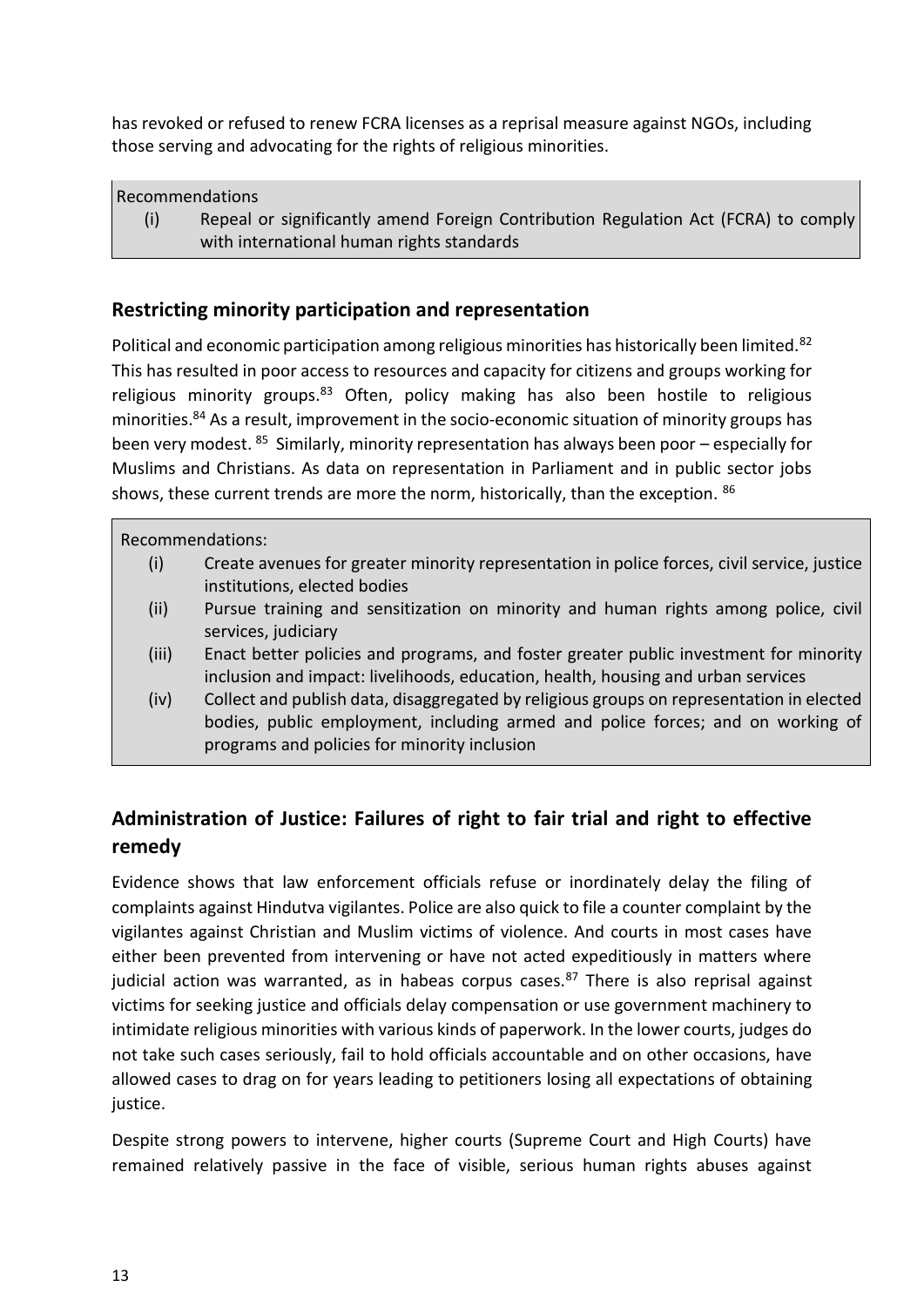has revoked or refused to renew FCRA licenses as a reprisal measure against NGOs, including those serving and advocating for the rights of religious minorities.

| <b>Recommendations</b> |                                                                                    |  |  |
|------------------------|------------------------------------------------------------------------------------|--|--|
| (i)                    | Repeal or significantly amend Foreign Contribution Regulation Act (FCRA) to comply |  |  |
|                        | with international human rights standards                                          |  |  |

#### <span id="page-12-0"></span>**Restricting minority participation and representation**

Political and economic participation among religious minorities has historically been limited.<sup>82</sup> This has resulted in poor access to resources and capacity for citizens and groups working for religious minority groups. $83$  Often, policy making has also been hostile to religious minorities.<sup>84</sup> As a result, improvement in the socio-economic situation of minority groups has been very modest. <sup>85</sup> Similarly, minority representation has always been poor - especially for Muslims and Christians. As data on representation in Parliament and in public sector jobs shows, these current trends are more the norm, historically, than the exception. 86

#### Recommendations:

- (i) Create avenues for greater minority representation in police forces, civil service, justice institutions, elected bodies
- (ii) Pursue training and sensitization on minority and human rights among police, civil services, judiciary
- (iii) Enact better policies and programs, and foster greater public investment for minority inclusion and impact: livelihoods, education, health, housing and urban services
- (iv) Collect and publish data, disaggregated by religious groups on representation in elected bodies, public employment, including armed and police forces; and on working of programs and policies for minority inclusion

## <span id="page-12-1"></span>**Administration of Justice: Failures of right to fair trial and right to effective remedy**

Evidence shows that law enforcement officials refuse or inordinately delay the filing of complaints against Hindutva vigilantes. Police are also quick to file a counter complaint by the vigilantes against Christian and Muslim victims of violence. And courts in most cases have either been prevented from intervening or have not acted expeditiously in matters where judicial action was warranted, as in habeas corpus cases. $87$  There is also reprisal against victims for seeking justice and officials delay compensation or use government machinery to intimidate religious minorities with various kinds of paperwork. In the lower courts, judges do not take such cases seriously, fail to hold officials accountable and on other occasions, have allowed cases to drag on for years leading to petitioners losing all expectations of obtaining justice.

Despite strong powers to intervene, higher courts (Supreme Court and High Courts) have remained relatively passive in the face of visible, serious human rights abuses against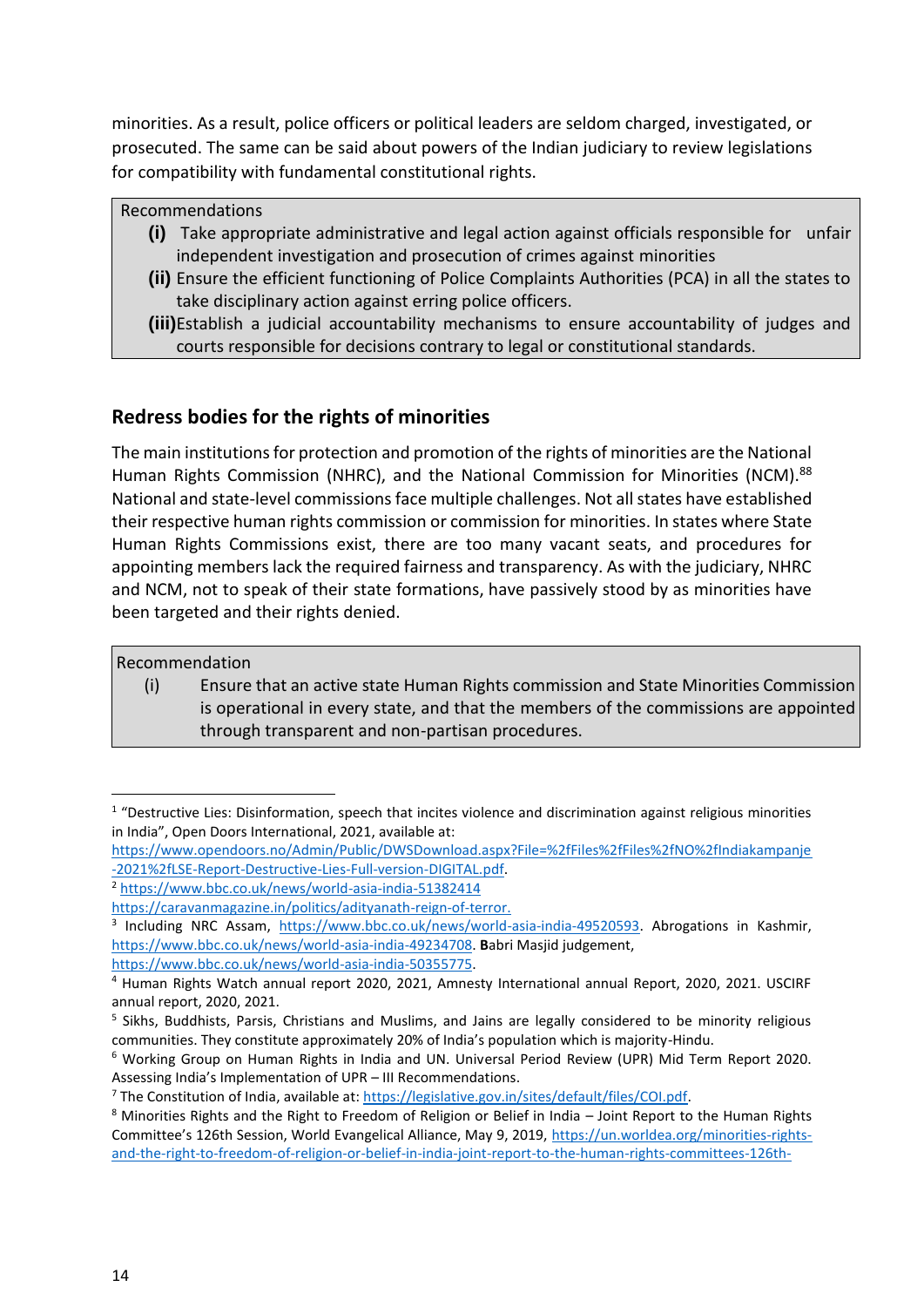minorities. As a result, police officers or political leaders are seldom charged, investigated, or prosecuted. The same can be said about powers of the Indian judiciary to review legislations for compatibility with fundamental constitutional rights.

Recommendations

- **(i)** Take appropriate administrative and legal action against officials responsible for unfair independent investigation and prosecution of crimes against minorities
- **(ii)** Ensure the efficient functioning of Police Complaints Authorities (PCA) in all the states to take disciplinary action against erring police officers.
- **(iii)**Establish a judicial accountability mechanisms to ensure accountability of judges and courts responsible for decisions contrary to legal or constitutional standards.

### <span id="page-13-0"></span>**Redress bodies for the rights of minorities**

The main institutions for protection and promotion of the rights of minorities are the National Human Rights Commission (NHRC), and the National Commission for Minorities (NCM).<sup>88</sup> National and state-level commissions face multiple challenges. Not all states have established their respective human rights commission or commission for minorities. In states where State Human Rights Commissions exist, there are too many vacant seats, and procedures for appointing members lack the required fairness and transparency. As with the judiciary, NHRC and NCM, not to speak of their state formations, have passively stood by as minorities have been targeted and their rights denied.

Recommendation

(i) Ensure that an active state Human Rights commission and State Minorities Commission is operational in every state, and that the members of the commissions are appointed through transparent and non-partisan procedures.

<sup>&</sup>lt;sup>1</sup> "Destructive Lies: Disinformation, speech that incites violence and discrimination against religious minorities in India", Open Doors International, 2021, available at:

[https://www.opendoors.no/Admin/Public/DWSDownload.aspx?File=%2fFiles%2fFiles%2fNO%2fIndiakampanje](https://www.opendoors.no/Admin/Public/DWSDownload.aspx?File=%2fFiles%2fFiles%2fNO%2fIndiakampanje-2021%2fLSE-Report-Destructive-Lies-Full-version-DIGITAL.pdf) [-2021%2fLSE-Report-Destructive-Lies-Full-version-DIGITAL.pdf.](https://www.opendoors.no/Admin/Public/DWSDownload.aspx?File=%2fFiles%2fFiles%2fNO%2fIndiakampanje-2021%2fLSE-Report-Destructive-Lies-Full-version-DIGITAL.pdf)

<sup>2</sup> <https://www.bbc.co.uk/news/world-asia-india-51382414>

[https://caravanmagazine.in/politics/adityanath-reign-of-terror.](https://caravanmagazine.in/politics/adityanath-reign-of-terror)

<sup>&</sup>lt;sup>3</sup> Including NRC Assam, [https://www.bbc.co.uk/news/world-asia-india-49520593.](https://www.bbc.co.uk/news/world-asia-india-49520593) Abrogations in Kashmir, [https://www.bbc.co.uk/news/world-asia-india-49234708.](https://www.bbc.co.uk/news/world-asia-india-49234708) **B**abri Masjid judgement, [https://www.bbc.co.uk/news/world-asia-india-50355775.](https://www.bbc.co.uk/news/world-asia-india-50355775) 

<sup>4</sup> Human Rights Watch annual report 2020, 2021, Amnesty International annual Report, 2020, 2021. USCIRF annual report, 2020, 2021.

<sup>&</sup>lt;sup>5</sup> Sikhs, Buddhists, Parsis, Christians and Muslims, and Jains are legally considered to be minority religious communities. They constitute approximately 20% of India's population which is majority-Hindu.

<sup>6</sup> Working Group on Human Rights in India and UN. Universal Period Review (UPR) Mid Term Report 2020. Assessing India's Implementation of UPR – III Recommendations.

<sup>7</sup> The Constitution of India, available at: [https://legislative.gov.in/sites/default/files/COI.pdf.](https://legislative.gov.in/sites/default/files/COI.pdf)

<sup>8</sup> Minorities Rights and the Right to Freedom of Religion or Belief in India – Joint Report to the Human Rights Committee's 126th Session, World Evangelical Alliance, May 9, 2019, [https://un.worldea.org/minorities-rights](https://un.worldea.org/minorities-rights-and-the-right-to-freedom-of-religion-or-belief-in-india-joint-report-to-the-human-rights-committees-126th-session/)[and-the-right-to-freedom-of-religion-or-belief-in-india-joint-report-to-the-human-rights-committees-126th-](https://un.worldea.org/minorities-rights-and-the-right-to-freedom-of-religion-or-belief-in-india-joint-report-to-the-human-rights-committees-126th-session/)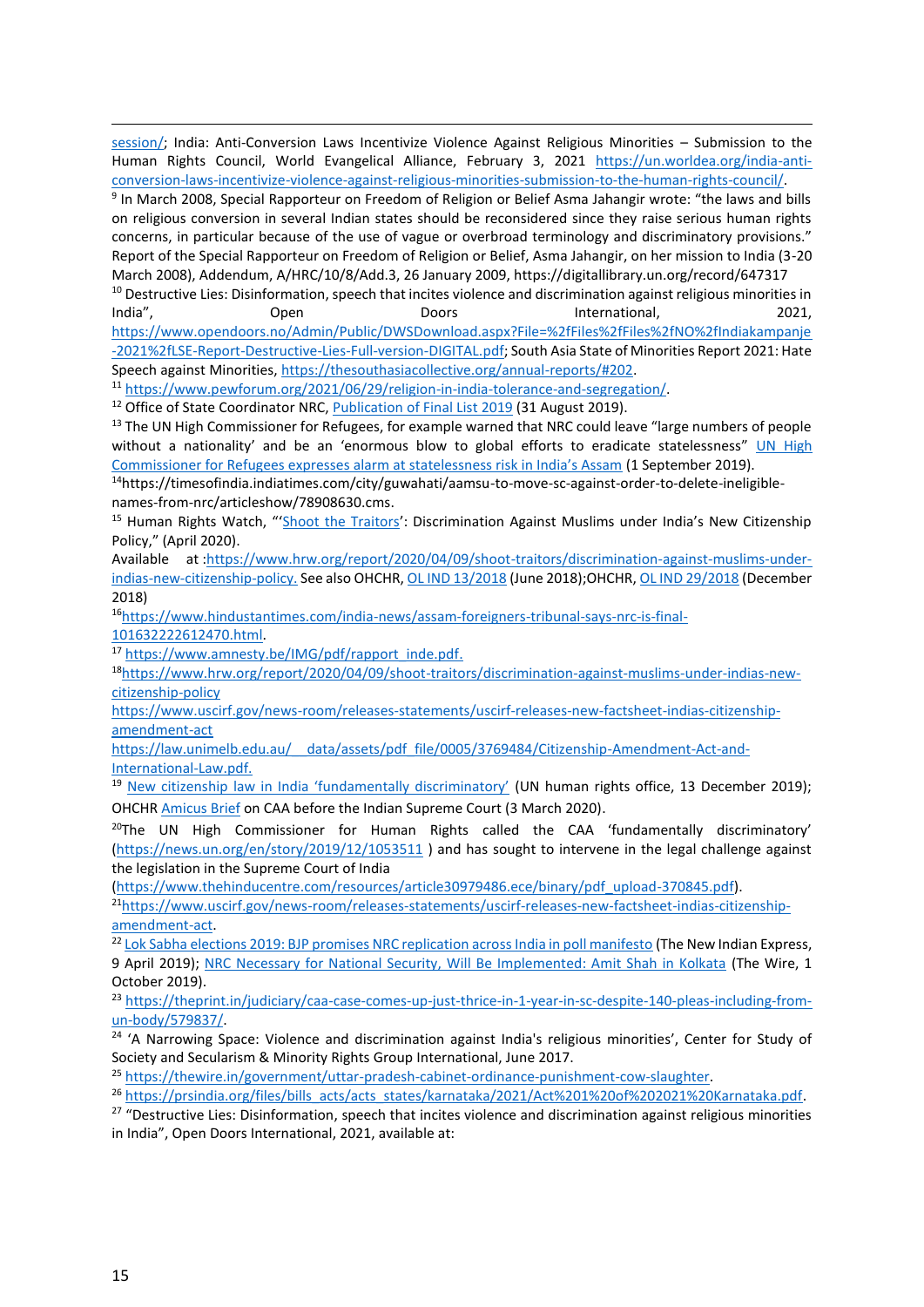[session/;](https://un.worldea.org/minorities-rights-and-the-right-to-freedom-of-religion-or-belief-in-india-joint-report-to-the-human-rights-committees-126th-session/) India: Anti-Conversion Laws Incentivize Violence Against Religious Minorities - Submission to the Human Rights Council, World Evangelical Alliance, February 3, 2021 [https://un.worldea.org/india-anti](https://un.worldea.org/india-anti-conversion-laws-incentivize-violence-against-religious-minorities-submission-to-the-human-rights-council/)[conversion-laws-incentivize-violence-against-religious-minorities-submission-to-the-human-rights-council/.](https://un.worldea.org/india-anti-conversion-laws-incentivize-violence-against-religious-minorities-submission-to-the-human-rights-council/)

9 In March 2008, Special Rapporteur on Freedom of Religion or Belief Asma Jahangir wrote: "the laws and bills on religious conversion in several Indian states should be reconsidered since they raise serious human rights concerns, in particular because of the use of vague or overbroad terminology and discriminatory provisions." Report of the Special Rapporteur on Freedom of Religion or Belief, Asma Jahangir, on her mission to India (3-20 March 2008), Addendum, A/HRC/10/8/Add.3, 26 January 2009, https://digitallibrary.un.org/record/647317

<sup>10</sup> Destructive Lies: Disinformation, speech that incites violence and discrimination against religious minorities in India", Open Doors International, 2021, [https://www.opendoors.no/Admin/Public/DWSDownload.aspx?File=%2fFiles%2fFiles%2fNO%2fIndiakampanje](https://www.opendoors.no/Admin/Public/DWSDownload.aspx?File=%2fFiles%2fFiles%2fNO%2fIndiakampanje-2021%2fLSE-Report-Destructive-Lies-Full-version-DIGITAL.pdf) [-2021%2fLSE-Report-Destructive-Lies-Full-version-DIGITAL.pdf;](https://www.opendoors.no/Admin/Public/DWSDownload.aspx?File=%2fFiles%2fFiles%2fNO%2fIndiakampanje-2021%2fLSE-Report-Destructive-Lies-Full-version-DIGITAL.pdf) South Asia State of Minorities Report 2021: Hate Speech against Minorities, [https://thesouthasiacollective.org/annual-reports/#202.](https://thesouthasiacollective.org/annual-reports/#202)

<sup>11</sup> [https://www.pewforum.org/2021/06/29/religion-in-india-tolerance-and-segregation/.](https://www.pewforum.org/2021/06/29/religion-in-india-tolerance-and-segregation/) 

<sup>12</sup> Office of State Coordinator NRC, *Publication of Final List 2019* (31 August 2019).

<sup>13</sup> The UN High Commissioner for Refugees, for example warned that NRC could leave "large numbers of people without a nationality' and be an 'enormous blow to global efforts to eradicate statelessness" UN High Commissioner [for Refugees expresses alarm at statelessness risk in India's Assam](https://www.unhcr.org/news/press/2019/9/5d6a24ba4/un-high-commissioner-refugees-expresses-alarm-statelessness-risk-indias.html) (1 September 2019).

14https://timesofindia.indiatimes.com/city/guwahati/aamsu-to-move-sc-against-order-to-delete-ineligiblenames-from-nrc/articleshow/78908630.cms.

<sup>15</sup> Human Rights Watch, "'[Shoot the Traitors](https://www.hrw.org/report/2020/04/09/shoot-traitors/discrimination-against-muslims-under-indias-new-citizenship-policy)': Discrimination Against Muslims under India's New Citizenship Policy," (April 2020).

Available at [:https://www.hrw.org/report/2020/04/09/shoot-traitors/discrimination-against-muslims-under](https://www.hrw.org/report/2020/04/09/shoot-traitors/discrimination-against-muslims-under-indias-new-citizenship-policy)[indias-new-citizenship-policy.](https://www.hrw.org/report/2020/04/09/shoot-traitors/discrimination-against-muslims-under-indias-new-citizenship-policy) See also OHCHR[, OL IND 13/2018](https://spcommreports.ohchr.org/TMResultsBase/DownLoadPublicCommunicationFile?gId=23884) (June 2018);OHCHR[, OL IND 29/2018](https://spcommreports.ohchr.org/TMResultsBase/DownLoadPublicCommunicationFile?gId=24247) (December 2018)

16[https://www.hindustantimes.com/india-news/assam-foreigners-tribunal-says-nrc-is-final-](https://www.hindustantimes.com/india-news/assam-foreigners-tribunal-says-nrc-is-final-101632222612470.html)[101632222612470.html.](https://www.hindustantimes.com/india-news/assam-foreigners-tribunal-says-nrc-is-final-101632222612470.html)

<sup>17</sup> [https://www.amnesty.be/IMG/pdf/rapport\\_inde.pdf.](https://www.amnesty.be/IMG/pdf/rapport_inde.pdf)

18[https://www.hrw.org/report/2020/04/09/shoot-traitors/discrimination-against-muslims-under-indias-new](https://www.hrw.org/report/2020/04/09/shoot-traitors/discrimination-against-muslims-under-indias-new-citizenship-policy)[citizenship-policy](https://www.hrw.org/report/2020/04/09/shoot-traitors/discrimination-against-muslims-under-indias-new-citizenship-policy)

[https://www.uscirf.gov/news-room/releases-statements/uscirf-releases-new-factsheet-indias-citizenship](https://www.uscirf.gov/news-room/releases-statements/uscirf-releases-new-factsheet-indias-citizenship-amendment-act)[amendment-act](https://www.uscirf.gov/news-room/releases-statements/uscirf-releases-new-factsheet-indias-citizenship-amendment-act)

[https://law.unimelb.edu.au/\\_\\_data/assets/pdf\\_file/0005/3769484/Citizenship-Amendment-Act-and-](https://law.unimelb.edu.au/__data/assets/pdf_file/0005/3769484/Citizenship-Amendment-Act-and-International-Law.pdf)[International-Law.pdf.](https://law.unimelb.edu.au/__data/assets/pdf_file/0005/3769484/Citizenship-Amendment-Act-and-International-Law.pdf)

<sup>19</sup> [New citizenship law in India 'fundamentally discriminatory'](https://news.un.org/en/story/2019/12/1053511) (UN human rights office, 13 December 2019); OHCHR [Amicus Brief](https://thewire.in/diplomacy/un-human-rights-chief-intervention-application-supreme-court-caa) on CAA before the Indian Supreme Court (3 March 2020).

 $20$ The UN High Commissioner for Human Rights called the CAA 'fundamentally discriminatory' [\(https://news.un.org/en/story/2019/12/1053511](https://news.un.org/en/story/2019/12/1053511) ) and has sought to intervene in the legal challenge against the legislation in the Supreme Court of India

[\(https://www.thehinducentre.com/resources/article30979486.ece/binary/pdf\\_upload-370845.pdf\)](https://www.thehinducentre.com/resources/article30979486.ece/binary/pdf_upload-370845.pdf).

21[https://www.uscirf.gov/news-room/releases-statements/uscirf-releases-new-factsheet-indias-citizenship](https://www.uscirf.gov/news-room/releases-statements/uscirf-releases-new-factsheet-indias-citizenship-amendment-act)[amendment-act.](https://www.uscirf.gov/news-room/releases-statements/uscirf-releases-new-factsheet-indias-citizenship-amendment-act) 

<sup>22</sup> [Lok Sabha elections 2019: BJP promises NRC replication across India in poll manifesto](https://www.newindianexpress.com/nation/2019/apr/09/lok-sabha-elections-2019-bjp-promises-nrc-replication-across-india-in-poll-manifesto-1962037.html) (The New Indian Express, 9 April 2019); [NRC Necessary for National Security, Will Be Implemented: Amit Shah in Kolkata](https://thewire.in/government/nrc-necessary-for-national-security-amit-shah) (The Wire, 1 October 2019).

<sup>23</sup> [https://theprint.in/judiciary/caa-case-comes-up-just-thrice-in-1-year-in-sc-despite-140-pleas-including-from](https://theprint.in/judiciary/caa-case-comes-up-just-thrice-in-1-year-in-sc-despite-140-pleas-including-from-un-body/579837/)[un-body/579837/.](https://theprint.in/judiciary/caa-case-comes-up-just-thrice-in-1-year-in-sc-despite-140-pleas-including-from-un-body/579837/)

<sup>24</sup> 'A Narrowing Space: Violence and discrimination against India's religious minorities', Center for Study of Society and Secularism & Minority Rights Group International, June 2017.

<sup>25</sup> [https://thewire.in/government/uttar-pradesh-cabinet-ordinance-punishment-cow-slaughter.](https://thewire.in/government/uttar-pradesh-cabinet-ordinance-punishment-cow-slaughter) 

<sup>26</sup> https://prsindia.org/files/bills\_acts/acts\_states/karnataka/2021/Act%201%20of%202021%20Karnataka.pdf.

<sup>27</sup> "Destructive Lies: Disinformation, speech that incites violence and discrimination against religious minorities in India", Open Doors International, 2021, available at: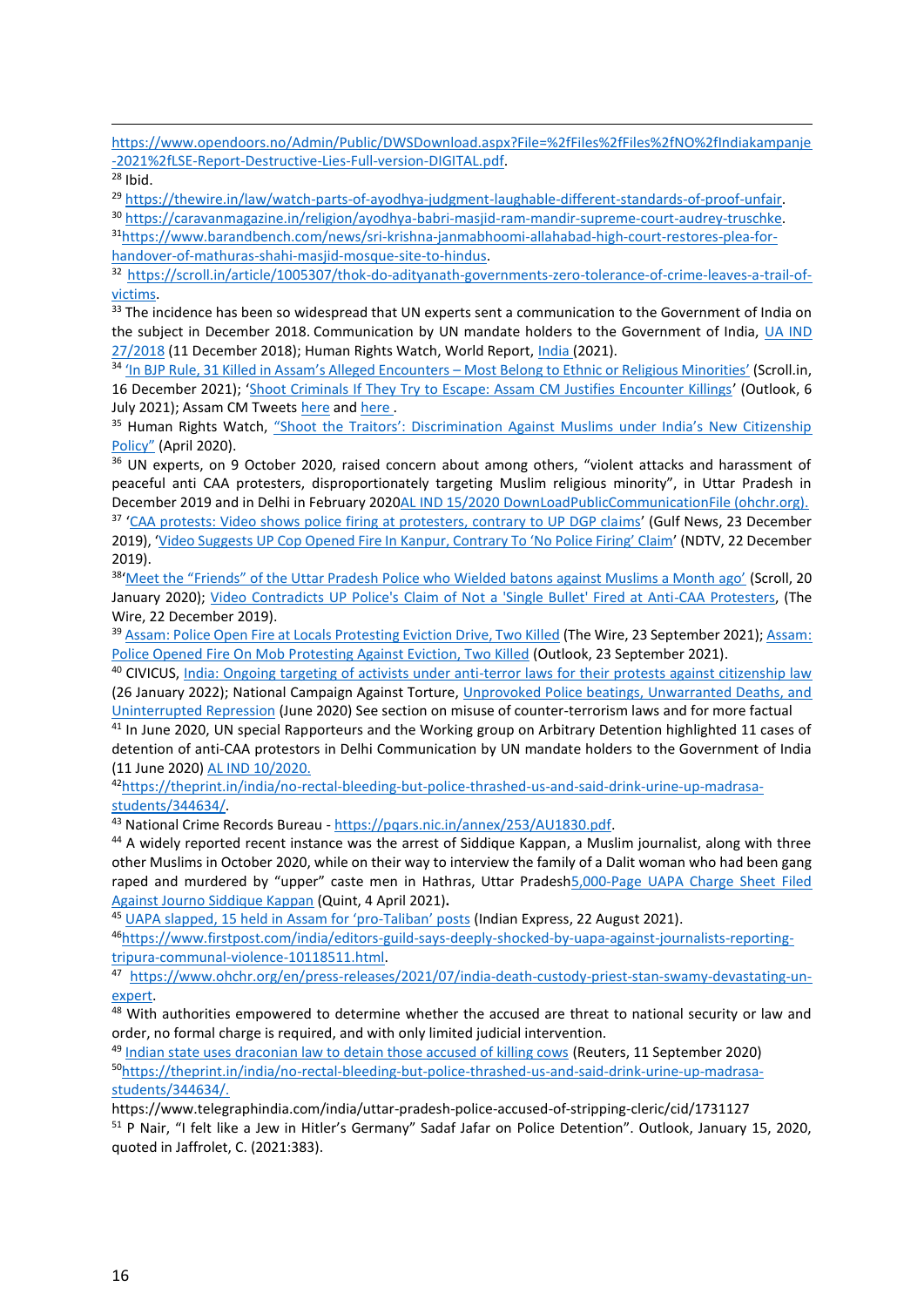[https://www.opendoors.no/Admin/Public/DWSDownload.aspx?File=%2fFiles%2fFiles%2fNO%2fIndiakampanje](https://www.opendoors.no/Admin/Public/DWSDownload.aspx?File=%2fFiles%2fFiles%2fNO%2fIndiakampanje-2021%2fLSE-Report-Destructive-Lies-Full-version-DIGITAL.pdf) [-2021%2fLSE-Report-Destructive-Lies-Full-version-DIGITAL.pdf.](https://www.opendoors.no/Admin/Public/DWSDownload.aspx?File=%2fFiles%2fFiles%2fNO%2fIndiakampanje-2021%2fLSE-Report-Destructive-Lies-Full-version-DIGITAL.pdf)

 $28$  Ibid.

<sup>29</sup> [https://thewire.in/law/watch-parts-of-ayodhya-judgment-laughable-different-standards-of-proof-unfair.](https://thewire.in/law/watch-parts-of-ayodhya-judgment-laughable-different-standards-of-proof-unfair)

<sup>30</sup> [https://caravanmagazine.in/religion/ayodhya-babri-masjid-ram-mandir-supreme-court-audrey-truschke.](https://caravanmagazine.in/religion/ayodhya-babri-masjid-ram-mandir-supreme-court-audrey-truschke) 31[https://www.barandbench.com/news/sri-krishna-janmabhoomi-allahabad-high-court-restores-plea-for](https://www.barandbench.com/news/sri-krishna-janmabhoomi-allahabad-high-court-restores-plea-for-handover-of-mathuras-shahi-masjid-mosque-site-to-hindus)[handover-of-mathuras-shahi-masjid-mosque-site-to-hindus.](https://www.barandbench.com/news/sri-krishna-janmabhoomi-allahabad-high-court-restores-plea-for-handover-of-mathuras-shahi-masjid-mosque-site-to-hindus)

<sup>32</sup> [https://scroll.in/article/1005307/thok-do-adityanath-governments-zero-tolerance-of-crime-leaves-a-trail-of](https://scroll.in/article/1005307/thok-do-adityanath-governments-zero-tolerance-of-crime-leaves-a-trail-of-victims)[victims.](https://scroll.in/article/1005307/thok-do-adityanath-governments-zero-tolerance-of-crime-leaves-a-trail-of-victims)

<sup>33</sup> The incidence has been so widespread that UN experts sent a communication to the Government of India on the subject in December 2018. Communication by UN mandate holders to the Government of India, [UA IND](https://spcommreports.ohchr.org/TMResultsBase/DownLoadPublicCommunicationFile?gId=24240)  [27/2018](https://spcommreports.ohchr.org/TMResultsBase/DownLoadPublicCommunicationFile?gId=24240) (11 December 2018); Human Rights Watch, World Report[, India](https://www.hrw.org/world-report/2021/country-chapters/india) (2021).

34 ['In BJP Rule, 31 Killed in Assam's Alleged Encounters –](https://scroll.in/article/1012903/framed-most-people-killed-in-assams-alleged-encounters-belong-to-ethnic-or-religious-minorities) Most Belong to Ethnic or Religious Minorities' (Scroll.in, 16 December 2021); '[Shoot Criminals If They Try to Escape: Assam CM Justifies Encounter Killings](https://www.outlookindia.com/website/story/india-news-shooting-should-be-the-pattern-if-criminals-try-to-escape-assam-cm/387188)' (Outlook, 6 July 2021); Assam CM Tweets [here](https://twitter.com/himantabiswa/status/1465935552868347904) an[d here](https://twitter.com/gpsinghips/status/1465787595216982017).

<sup>35</sup> Human Rights Watch, "Shoot the Traitors': Discrimination Against Muslims under India's New Citizenship [Policy"](https://www.hrw.org/report/2020/04/09/shoot-traitors/discrimination-against-muslims-under-indias-new-citizenship-policy) (April 2020).

<sup>36</sup> UN experts, on 9 October 2020, raised concern about among others, "violent attacks and harassment of peaceful anti CAA protesters, disproportionately targeting Muslim religious minority", in Uttar Pradesh in December 2019 and in Delhi in February 202[0AL IND 15/2020](https://spcommreports.ohchr.org/TMResultsBase/DownLoadPublicCommunicationFile?gId=25603) [DownLoadPublicCommunicationFile \(ohchr.org\).](https://spcommreports.ohchr.org/TMResultsBase/DownLoadPublicCommunicationFile?gId=25603) <sup>37</sup> '[CAA protests: Video shows police firing at protesters, contrary to UP DGP claims](https://gulfnews.com/world/asia/india/caa-protests-video-shows-police-firing-at-protesters-contrary-to-up-dgp-claims-1.1577078324096)' (Gulf News, 23 December 2019), 'Video Suggests UP Cop Opened Fire In [Kanpur, Contrary To 'No Police Firing' Claim'](https://www.ndtv.com/india-news/citizenship-amendment-act-protests-video-suggests-up-cop-opened-fire-in-kanpur-contrary-to-no-police-2152566?amp=1&akamai-rum=off.) (NDTV, 22 December 2019).

<sup>38</sup>['Meet the "Friends" of the Uttar Pradesh Police who Wielded batons against Muslims a Month ago'](https://scroll.in/article/950489/meet-the-friends-of-the-uttar-pradesh-police-who-wielded-batons-against-muslims-a-month-ago) (Scroll, 20 January 2020); [Video Contradicts UP Police's Claim of Not a 'Single Bullet' Fired at Anti-CAA Protesters,](https://thewire.in/law/up-police-video-protests) (The Wire, 22 December 2019).

39 [Assam: Police Open Fire at Locals Protesting Eviction Drive, Two Killed](https://thewire.in/rights/assam-police-open-fire-local-protesting-eviction-drive-darrang) (The Wire, 23 September 2021); Assam: [Police Opened Fire On Mob Protesting Against Eviction, Two Killed](https://www.outlookindia.com/website/story/india-news-assam-police-opened-fire-on-mob-protesting-against-eviction-two-killed/395573) (Outlook, 23 September 2021).

<sup>40</sup> CIVICUS, [India: Ongoing targeting of activists under anti-terror laws for their protests against citizenship law](https://www.civicus.org/index.php/media-resources/news/5561-india-ongoing-targeting-of-18-human-rights-defenders-under-anti-terror-laws-in-reprisal-for-their-protest-against-the-citizenship-amendment-act-2019) (26 January 2022); National Campaign Against Torture, [Unprovoked Police beatings, Unwarranted Deaths, and](about:blank)  [Uninterrupted Repression](about:blank) (June 2020) See section on misuse of counter-terrorism laws and for more factual

<sup>41</sup> In June 2020, UN special Rapporteurs and the Working group on Arbitrary Detention highlighted 11 cases of detention of anti-CAA protestors in Delhi Communication by UN mandate holders to the Government of India (11 June 2020) [AL IND 10/2020.](https://spcommreports.ohchr.org/TMResultsBase/DownLoadPublicCommunicationFile?gId=25343)

42[https://theprint.in/india/no-rectal-bleeding-but-police-thrashed-us-and-said-drink-urine-up-madrasa](https://theprint.in/india/no-rectal-bleeding-but-police-thrashed-us-and-said-drink-urine-up-madrasa-students/344634/)[students/344634/.](https://theprint.in/india/no-rectal-bleeding-but-police-thrashed-us-and-said-drink-urine-up-madrasa-students/344634/) 

<sup>43</sup> National Crime Records Bureau - [https://pqars.nic.in/annex/253/AU1830.pdf.](https://pqars.nic.in/annex/253/AU1830.pdf)

<sup>44</sup> A widely reported recent instance was the arrest of Siddique Kappan, a Muslim journalist, along with three other Muslims in October 2020, while on their way to interview the family of a Dalit woman who had been gang raped and murdered by "upper" caste men in Hathras, Uttar Pradesh5,000-Page UAPA Charge Sheet Filed [Against Journo Siddique Kappan](https://www.thequint.com/news/india/hathras-case-siddique-kappan-kerala-journalist-chargesheet-uapa#read-more) (Quint, 4 April 2021)**.**

<sup>45</sup> [UAPA slapped, 15 held in Assam for 'pro](https://indianexpress.com/article/north-east-india/assam/uapa-slapped-15-held-in-assam-for-pro-taliban-posts-7464904/)-Taliban' posts (Indian Express, 22 August 2021).

46[https://www.firstpost.com/india/editors-guild-says-deeply-shocked-by-uapa-against-journalists-reporting](https://www.firstpost.com/india/editors-guild-says-deeply-shocked-by-uapa-against-journalists-reporting-tripura-communal-violence-10118511.html)[tripura-communal-violence-10118511.html.](https://www.firstpost.com/india/editors-guild-says-deeply-shocked-by-uapa-against-journalists-reporting-tripura-communal-violence-10118511.html)

<sup>47</sup> [https://www.ohchr.org/en/press-releases/2021/07/india-death-custody-priest-stan-swamy-devastating-un](https://www.ohchr.org/en/press-releases/2021/07/india-death-custody-priest-stan-swamy-devastating-un-expert)[expert.](https://www.ohchr.org/en/press-releases/2021/07/india-death-custody-priest-stan-swamy-devastating-un-expert) 

<sup>48</sup> With authorities empowered to determine whether the accused are threat to national security or law and order, no formal charge is required, and with only limited judicial intervention.

<sup>49</sup> [Indian state uses draconian law to detain those accused of killing cows](https://www.reuters.com/article/uk-india-crime-idUKKBN2621GY) (Reuters, 11 September 2020) 50[https://theprint.in/india/no-rectal-bleeding-but-police-thrashed-us-and-said-drink-urine-up-madrasa](https://theprint.in/india/no-rectal-bleeding-but-police-thrashed-us-and-said-drink-urine-up-madrasa-students/344634/)[students/344634/.](https://theprint.in/india/no-rectal-bleeding-but-police-thrashed-us-and-said-drink-urine-up-madrasa-students/344634/)

https://www.telegraphindia.com/india/uttar-pradesh-police-accused-of-stripping-cleric/cid/1731127

<sup>51</sup> P Nair, "I felt like a Jew in Hitler's Germany" Sadaf Jafar on Police Detention". Outlook, January 15, 2020, quoted in Jaffrolet, C. (2021:383).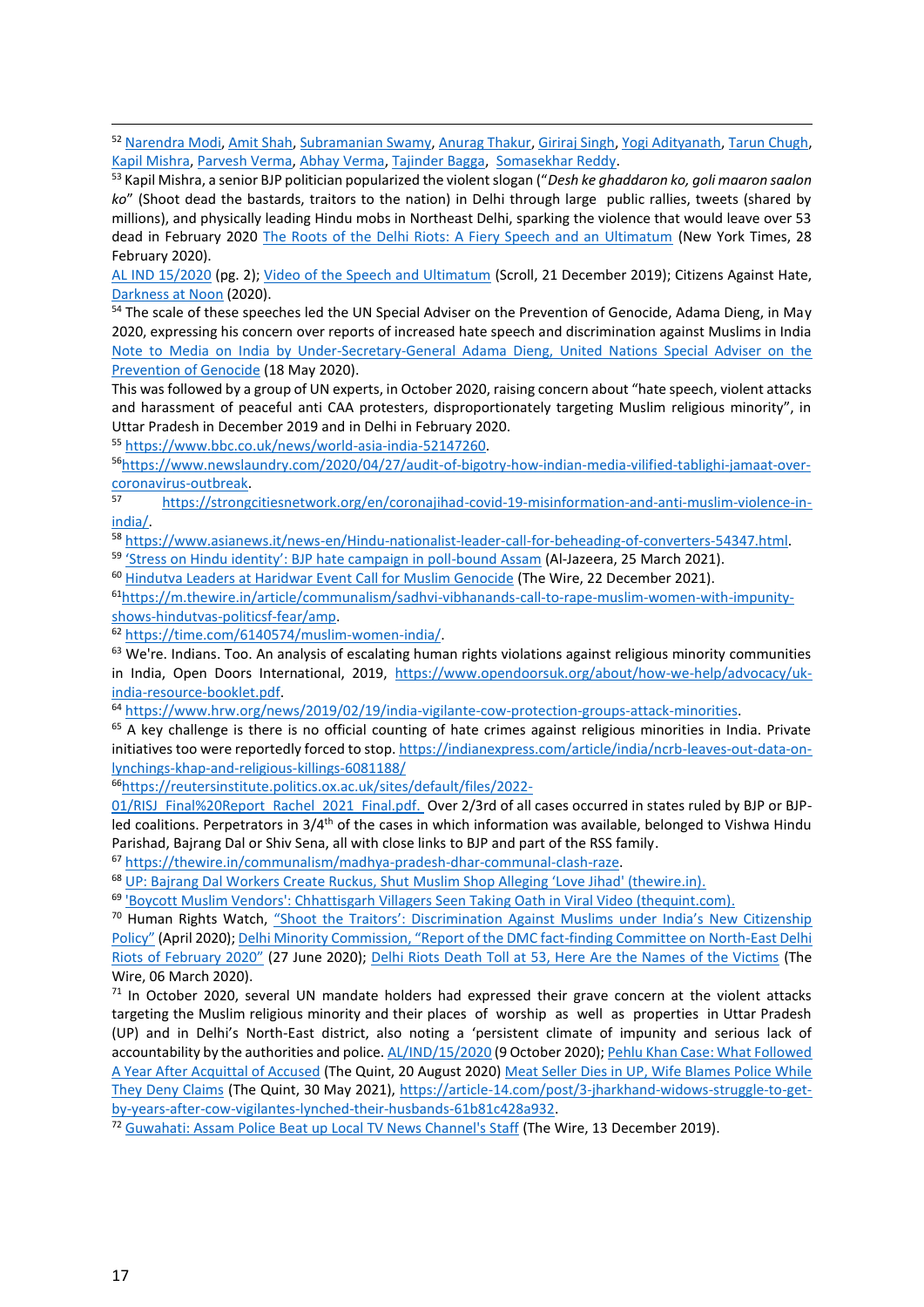<sup>52</sup> [Narendra Modi,](https://timesofindia.indiatimes.com/india/shaheen-bagh-jamia-are-a-plot-to-destroy-harmony-pm-modi/articleshow/73917319.cms) [Amit Shah,](https://www.newslaundry.com/2020/03/13/why-are-amit-shah-and-adityanath-not-being-blamed-for-the-delhi-carnage) [Subramanian Swamy,](https://www.un.org/en/genocideprevention/documents/18052020_SA%20note%20to%20media%20on%20India_final.pdf) [Anurag Thakur,](https://scroll.in/video/951289/watch-anurag-thakur-minister-of-state-for-finance-lead-goli-maaro-saalon-ko-slogans-at-rally) [Giriraj Singh,](https://twitter.com/girirajsinghbjp/status/1225268618683772928) [Yogi Adityanath,](https://www.newslaundry.com/2020/03/13/why-are-amit-shah-and-adityanath-not-being-blamed-for-the-delhi-carnage) [Tarun Chugh,](https://english.newstracklive.com/news/bjp-leader-tarun-chugh-calls-shaheen-baag-as-shaitaan-baag-mc23-nu-1066291-1.html) [Kapil Mishra,](https://scroll.in/video/947491/goli-maaro-saalo-ko-bjps-kapil-mishra-posts-video-of-his-peaceful-march-supporting-the-caa) [Parvesh Verma,](https://www.firstpost.com/politics/will-remove-shaheen-bagh-protesters-mosques-on-state-land-west-delhi-bjp-mp-parvesh-vermas-poll-promise-7965961.html) [Abhay Verma,](https://twitter.com/UdaySRana/status/1232338366986780673?ref_src=twsrc%5etfw%7Ctwcamp%5etweetembed%7Ctwterm%5e1232338366986780673%7Ctwgr%5e%7Ctwcon%5es1_&ref_url=https%3A%2F%2Fwww.thequint.com%2Fnews%2Findia%2Fbjp-mla-abhay-verma-video-shouts-goli-maaro-saalon-ko-slogan-laxmi-nagar) [Tajinder Bagga,](https://twitter.com/TajinderBagga/status/1222763303320969216) [Somasekhar Reddy.](https://indianexpress.com/article/india/karnataka-bjp-mla-somasekhara-reddy-threatens-anti-caa-protesters-6198602/)

<sup>53</sup> Kapil Mishra, a senior BJP politician popularized the violent slogan ("*Desh ke ghaddaron ko, goli maaron saalon ko*" (Shoot dead the bastards, traitors to the nation) in Delhi through large public rallies, tweets (shared by millions), and physically leading Hindu mobs in Northeast Delhi, sparking the violence that would leave over 53 dead in February 2020 [The Roots of the Delhi Riots: A Fiery Speech and an Ultimatum](https://www.nytimes.com/2020/02/26/world/asia/delhi-riots-kapil-mishra.html) (New York Times, 28 February 2020).

[AL IND 15/2020](https://spcommreports.ohchr.org/TMResultsBase/DownLoadPublicCommunicationFile?gId=25603) (pg. 2); [Video of the Speech and Ultimatum](https://scroll.in/video/947491/goli-maaro-saalo-ko-bjps-kapil-mishra-posts-video-of-his-peaceful-march-supporting-the-caa) (Scroll, 21 December 2019); Citizens Against Hate, [Darkness at Noon](https://citizensagainsthate.org/wp-content/uploads/2021/03/Darkness-at-Noon.pdf) (2020).

<sup>54</sup> The scale of these speeches led the UN Special Adviser on the Prevention of Genocide, Adama Dieng, in May 2020, expressing his concern over reports of increased hate speech and discrimination against Muslims in India [Note to Media on India by Under-Secretary-General Adama Dieng, United Nations Special Adviser on the](https://www.un.org/en/genocideprevention/documents/18052020_SA%20note%20to%20media%20on%20India_final.pdf)  [Prevention of Genocide](https://www.un.org/en/genocideprevention/documents/18052020_SA%20note%20to%20media%20on%20India_final.pdf) (18 May 2020).

This was followed by a group of UN experts, in October 2020, raising concern about "hate speech, violent attacks and harassment of peaceful anti CAA protesters, disproportionately targeting Muslim religious minority", in Uttar Pradesh in December 2019 and in Delhi in February 2020.

<sup>55</sup> [https://www.bbc.co.uk/news/world-asia-india-52147260.](https://www.bbc.co.uk/news/world-asia-india-52147260) 

56[https://www.newslaundry.com/2020/04/27/audit-of-bigotry-how-indian-media-vilified-tablighi-jamaat-over](https://www.newslaundry.com/2020/04/27/audit-of-bigotry-how-indian-media-vilified-tablighi-jamaat-over-coronavirus-outbreak)[coronavirus-outbreak.](https://www.newslaundry.com/2020/04/27/audit-of-bigotry-how-indian-media-vilified-tablighi-jamaat-over-coronavirus-outbreak)<br>
57

[https://strongcitiesnetwork.org/en/coronajihad-covid-19-misinformation-and-anti-muslim-violence-in](https://strongcitiesnetwork.org/en/coronajihad-covid-19-misinformation-and-anti-muslim-violence-in-india/)[india/.](https://strongcitiesnetwork.org/en/coronajihad-covid-19-misinformation-and-anti-muslim-violence-in-india/)

<sup>58</sup> [https://www.asianews.it/news-en/Hindu-nationalist-leader-call-for-beheading-of-converters-54347.html.](https://www.asianews.it/news-en/Hindu-nationalist-leader-call-for-beheading-of-converters-54347.html)

59 ['Stress on Hindu identity': BJP hate campaign in poll](https://www.aljazeera.com/news/2021/3/25/stress-on-hindu-identity-bjp-hate-campaign-in-poll-bound-assam)-bound Assam (Al-Jazeera, 25 March 2021).

<sup>60</sup> [Hindutva Leaders at Haridwar Event Call for Muslim Genocide](https://thewire.in/communalism/hindutva-leaders-dharma-sansad-muslim-genocide) (The Wire, 22 December 2021).

61[https://m.thewire.in/article/communalism/sadhvi-vibhanands-call-to-rape-muslim-women-with-impunity](https://m.thewire.in/article/communalism/sadhvi-vibhanands-call-to-rape-muslim-women-with-impunity-shows-hindutvas-politicsf-fear/amp)[shows-hindutvas-politicsf-fear/amp.](https://m.thewire.in/article/communalism/sadhvi-vibhanands-call-to-rape-muslim-women-with-impunity-shows-hindutvas-politicsf-fear/amp)

<sup>62</sup> [https://time.com/6140574/muslim-women-india/.](https://time.com/6140574/muslim-women-india/) 

<sup>63</sup> We're. Indians. Too. An analysis of escalating human rights violations against religious minority communities in India, Open Doors International, 2019, [https://www.opendoorsuk.org/about/how-we-help/advocacy/uk](https://www.opendoorsuk.org/about/how-we-help/advocacy/uk-india-resource-booklet.pdf)[india-resource-booklet.pdf.](https://www.opendoorsuk.org/about/how-we-help/advocacy/uk-india-resource-booklet.pdf)

<sup>64</sup> [https://www.hrw.org/news/2019/02/19/india-vigilante-cow-protection-groups-attack-minorities.](https://www.hrw.org/news/2019/02/19/india-vigilante-cow-protection-groups-attack-minorities)

<sup>65</sup> A key challenge is there is no official counting of hate crimes against religious minorities in India. Private initiatives too were reportedly forced to stop[. https://indianexpress.com/article/india/ncrb-leaves-out-data-on](https://indianexpress.com/article/india/ncrb-leaves-out-data-on-lynchings-khap-and-religious-killings-6081188/)[lynchings-khap-and-religious-killings-6081188/](https://indianexpress.com/article/india/ncrb-leaves-out-data-on-lynchings-khap-and-religious-killings-6081188/)

<sup>66</sup>[https://reutersinstitute.politics.ox.ac.uk/sites/default/files/2022-](https://reutersinstitute.politics.ox.ac.uk/sites/default/files/2022-01/RISJ_Final%20Report_Rachel_2021_Final.pdf)

[01/RISJ\\_Final%20Report\\_Rachel\\_2021\\_Final.pdf.](https://reutersinstitute.politics.ox.ac.uk/sites/default/files/2022-01/RISJ_Final%20Report_Rachel_2021_Final.pdf) Over 2/3rd of all cases occurred in states ruled by BJP or BJPled coalitions. Perpetrators in 3/4<sup>th</sup> of the cases in which information was available, belonged to Vishwa Hindu Parishad, Bajrang Dal or Shiv Sena, all with close links to BJP and part of the RSS family.

<sup>67</sup> [https://thewire.in/communalism/madhya-pradesh-dhar-communal-clash-raze.](https://thewire.in/communalism/madhya-pradesh-dhar-communal-clash-raze) 

<sup>68</sup> UP: Bajrang Dal Workers Create Ruckus, Shut [Muslim Shop Alleging 'Love Jihad' \(thewire.in\)](https://m.thewire.in/article/communalism/up-bajrang-dal-workers-create-ruckus-shut-muslim-shop-alleging-love-jihad/amp).

<sup>69</sup> ['Boycott Muslim Vendors': Chhattisgarh Villagers Seen Taking Oath in Viral Video \(thequint.com\).](https://www.thequint.com/news/india/boycott-muslim-vendors-chhattisgarh-villagers-seen-taking-oath-in-viral-video#read-more)

<sup>70</sup> Human Rights Watch, ["Shoot the Traitors': Discrimination Against Muslims under India's New Citizenship](https://www.hrw.org/report/2020/04/09/shoot-traitors/discrimination-against-muslims-under-indias-new-citizenship-policy)  [Policy"](https://www.hrw.org/report/2020/04/09/shoot-traitors/discrimination-against-muslims-under-indias-new-citizenship-policy) (April 2020); [Delhi Minority Commission, "Report of the DMC fact](https://archive.org/stream/DMC-delhi-riots-fact-finding-2020/Delhi-riots-Fact-Finding-2020_djvu.txt)-finding Committee on North-East Delhi [Riots of February 2020"](https://archive.org/stream/DMC-delhi-riots-fact-finding-2020/Delhi-riots-Fact-Finding-2020_djvu.txt) (27 June 2020); [Delhi Riots Death Toll at 53, Here Are the Names of the Victims](https://thewire.in/communalism/delhi-riots-identities-deceased-confirmed) (The Wire, 06 March 2020).

 $71$  In October 2020, several UN mandate holders had expressed their grave concern at the violent attacks targeting the Muslim religious minority and their places of worship as well as properties in Uttar Pradesh (UP) and in Delhi's North-East district, also noting a 'persistent climate of impunity and serious lack of accountability by the authorities and police. [AL/IND/15/2020](https://spcommreports.ohchr.org/TMResultsBase/DownLoadPublicCommunicationFile?gId=25603) (9 October 2020)[; Pehlu Khan Case: What Followed](https://www.thequint.com/news/india/pehlu-khan-lycnhing-accused-acquitted-jaipur-high-court-appeal)  [A Year After Acquittal of Accused](https://www.thequint.com/news/india/pehlu-khan-lycnhing-accused-acquitted-jaipur-high-court-appeal) (The Quint, 20 August 2020) [Meat Seller Dies in UP, Wife Blames Police While](https://www.thequint.com/news/india/butcher-in-bulandshahr-uttar-pradesh-dies-wife-blames-up-police)  [They Deny Claims](https://www.thequint.com/news/india/butcher-in-bulandshahr-uttar-pradesh-dies-wife-blames-up-police) (The Quint, 30 May 2021), [https://article-14.com/post/3-jharkhand-widows-struggle-to-get](https://article-14.com/post/3-jharkhand-widows-struggle-to-get-by-years-after-cow-vigilantes-lynched-their-husbands-61b81c428a932)[by-years-after-cow-vigilantes-lynched-their-husbands-61b81c428a932.](https://article-14.com/post/3-jharkhand-widows-struggle-to-get-by-years-after-cow-vigilantes-lynched-their-husbands-61b81c428a932)

<sup>72</sup> [Guwahati: Assam Police Beat up Local TV News Channel's Staff](https://thewire.in/rights/assam-guwahati-police-tv-channel) (The Wire, 13 December 2019).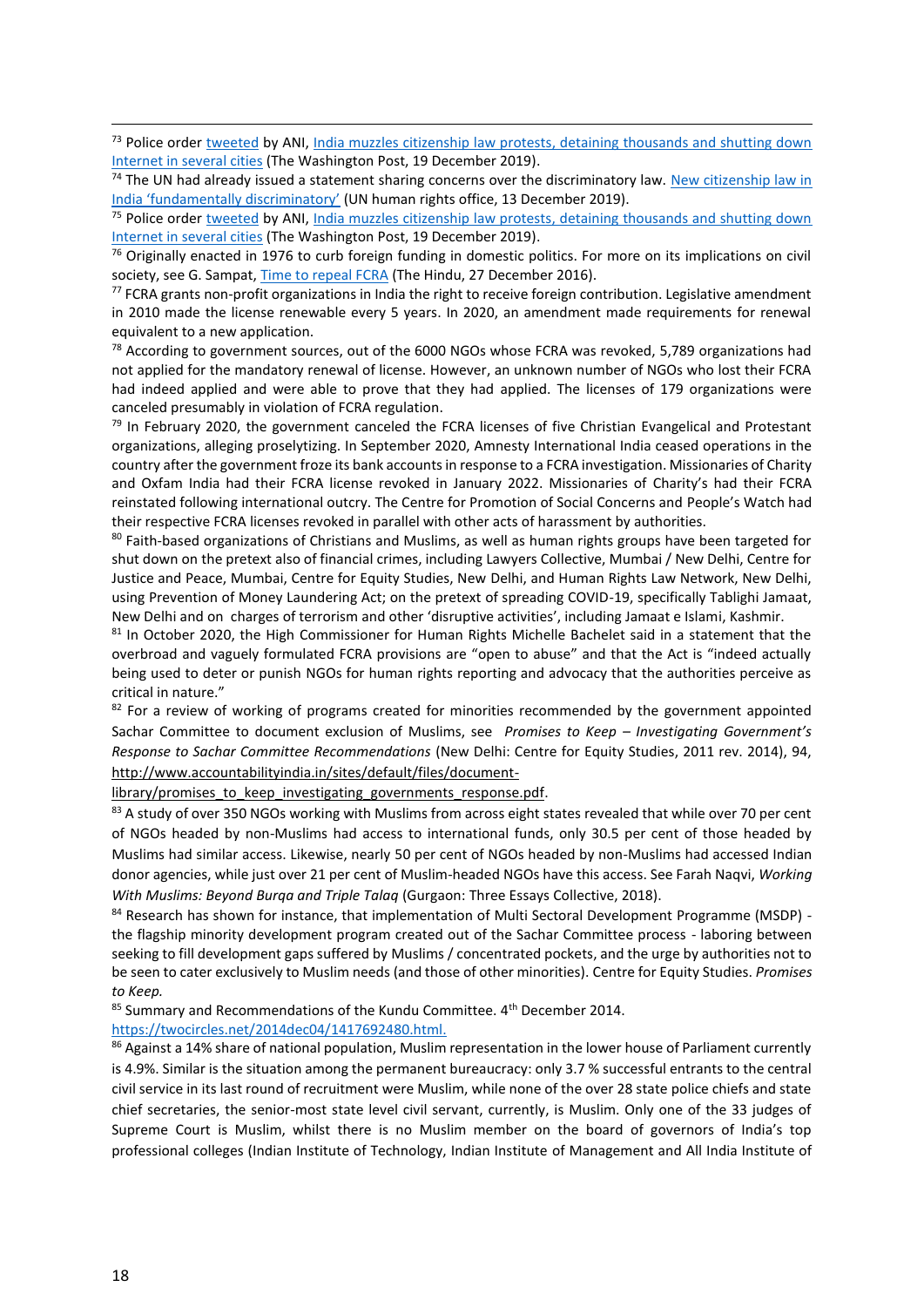<sup>73</sup> Police order [tweeted](https://twitter.com/ANI/status/1207567358002266118) by ANI, India muzzles citizenship law protests, detaining thousands and shutting down [Internet in several cities](https://www.washingtonpost.com/world/asia_pacific/india-muzzles-citizenship-law-protests-shutting-down-internet-and-detaining-protesters/2019/12/19/d5bc4ea6-21a7-11ea-b034-de7dc2b5199b_story.html) (The Washington Post, 19 December 2019).

 $74$  The UN had already issued a statement sharing concerns over the discriminatory law. New citizenship law in [India 'fundamentally discriminatory'](https://news.un.org/en/story/2019/12/1053511) (UN human rights office, 13 December 2019).

<sup>75</sup> Police order [tweeted](https://twitter.com/ANI/status/1207567358002266118) by ANI, India muzzles citizenship law protests, detaining thousands and shutting down [Internet in several cities](https://www.washingtonpost.com/world/asia_pacific/india-muzzles-citizenship-law-protests-shutting-down-internet-and-detaining-protesters/2019/12/19/d5bc4ea6-21a7-11ea-b034-de7dc2b5199b_story.html) (The Washington Post, 19 December 2019).

 $76$  Originally enacted in 1976 to curb foreign funding in domestic politics. For more on its implications on civil society, see G. Sampat, [Time to repeal FCRA](https://www.thehindu.com/opinion/lead/Time-to-repeal-the-FCRA/article16946222.ece) (The Hindu, 27 December 2016).

77 FCRA grants non-profit organizations in India the right to receive foreign contribution. Legislative amendment in 2010 made the license renewable every 5 years. In 2020, an amendment made requirements for renewal equivalent to a new application.

<sup>78</sup> According to government sources, out of the 6000 NGOs whose FCRA was revoked, 5,789 organizations had not applied for the mandatory renewal of license. However, an unknown number of NGOs who lost their FCRA had indeed applied and were able to prove that they had applied. The licenses of 179 organizations were canceled presumably in violation of FCRA regulation.

 $79$  In February 2020, the government canceled the FCRA licenses of five Christian Evangelical and Protestant organizations, alleging proselytizing. In September 2020, Amnesty International India ceased operations in the country after the government froze its bank accounts in response to a FCRA investigation. Missionaries of Charity and Oxfam India had their FCRA license revoked in January 2022. Missionaries of Charity's had their FCRA reinstated following international outcry. The Centre for Promotion of Social Concerns and People's Watch had their respective FCRA licenses revoked in parallel with other acts of harassment by authorities.

80 Faith-based organizations of Christians and Muslims, as well as human rights groups have been targeted for shut down on the pretext also of financial crimes, including Lawyers Collective, Mumbai / New Delhi, Centre for Justice and Peace, Mumbai, Centre for Equity Studies, New Delhi, and Human Rights Law Network, New Delhi, using Prevention of Money Laundering Act; on the pretext of spreading COVID-19, specifically Tablighi Jamaat, New Delhi and on charges of terrorism and other 'disruptive activities', including Jamaat e Islami, Kashmir.

81 In October 2020, the High Commissioner for Human Rights Michelle Bachelet said in a statement that the overbroad and vaguely formulated FCRA provisions are "open to abuse" and that the Act is "indeed actually being used to deter or punish NGOs for human rights reporting and advocacy that the authorities perceive as critical in nature."

 $82$  For a review of working of programs created for minorities recommended by the government appointed Sachar Committee to document exclusion of Muslims, see *Promises to Keep – Investigating Government's Response to Sachar Committee Recommendations* (New Delhi: Centre for Equity Studies, 2011 rev. 2014), 94, [http://www.accountabilityindia.in/sites/default/files/document-](http://www.accountabilityindia.in/sites/default/files/document-library/promises_to_keep_investigating_governments_response.pdf)

library/promises to keep investigating governments response.pdf.

83 A study of over 350 NGOs working with Muslims from across eight states revealed that while over 70 per cent of NGOs headed by non-Muslims had access to international funds, only 30.5 per cent of those headed by Muslims had similar access. Likewise, nearly 50 per cent of NGOs headed by non-Muslims had accessed Indian donor agencies, while just over 21 per cent of Muslim-headed NGOs have this access. See Farah Naqvi, *Working With Muslims: Beyond Burqa and Triple Talaq* (Gurgaon: Three Essays Collective, 2018).

84 Research has shown for instance, that implementation of Multi Sectoral Development Programme (MSDP) the flagship minority development program created out of the Sachar Committee process - laboring between seeking to fill development gaps suffered by Muslims / concentrated pockets, and the urge by authorities not to be seen to cater exclusively to Muslim needs (and those of other minorities). Centre for Equity Studies. *Promises to Keep.* 

85 Summary and Recommendations of the Kundu Committee. 4<sup>th</sup> December 2014.

[https://twocircles.net/2014dec04/1417692480.html.](https://twocircles.net/2014dec04/1417692480.html) 

86 Against a 14% share of national population, Muslim representation in the lower house of Parliament currently is 4.9%. Similar is the situation among the permanent bureaucracy: only 3.7 % successful entrants to the central civil service in its last round of recruitment were Muslim, while none of the over 28 state police chiefs and state chief secretaries, the senior-most state level civil servant, currently, is Muslim. Only one of the 33 judges of Supreme Court is Muslim, whilst there is no Muslim member on the board of governors of India's top professional colleges (Indian Institute of Technology, Indian Institute of Management and All India Institute of